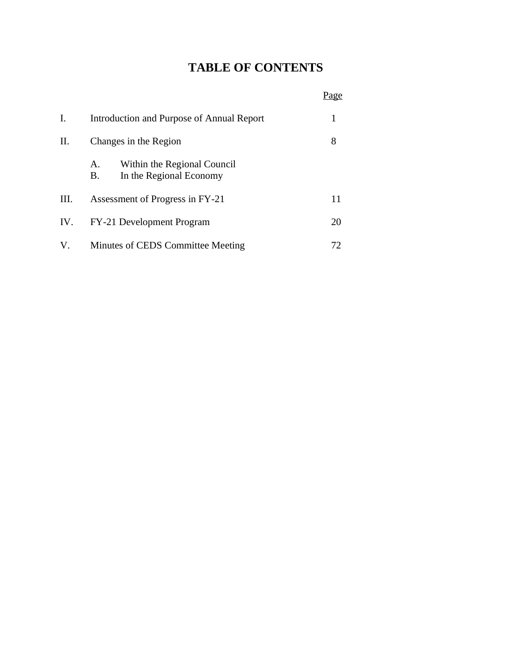# **TABLE OF CONTENTS**

## Page

| I.  | Introduction and Purpose of Annual Report                          |   |  |
|-----|--------------------------------------------------------------------|---|--|
| П.  | Changes in the Region                                              | 8 |  |
|     | Within the Regional Council<br>A.<br>In the Regional Economy<br>В. |   |  |
| Ш.  | Assessment of Progress in FY-21                                    |   |  |
| IV. | FY-21 Development Program<br>20                                    |   |  |
| V.  | Minutes of CEDS Committee Meeting                                  |   |  |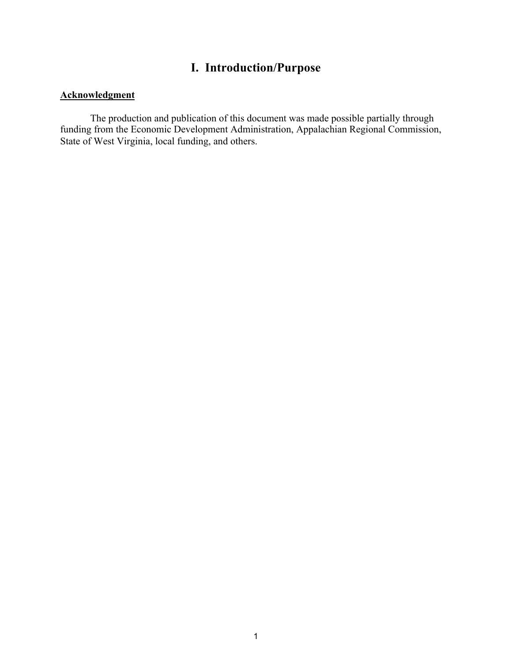# **I. Introduction/Purpose**

## **Acknowledgment**

The production and publication of this document was made possible partially through funding from the Economic Development Administration, Appalachian Regional Commission, State of West Virginia, local funding, and others.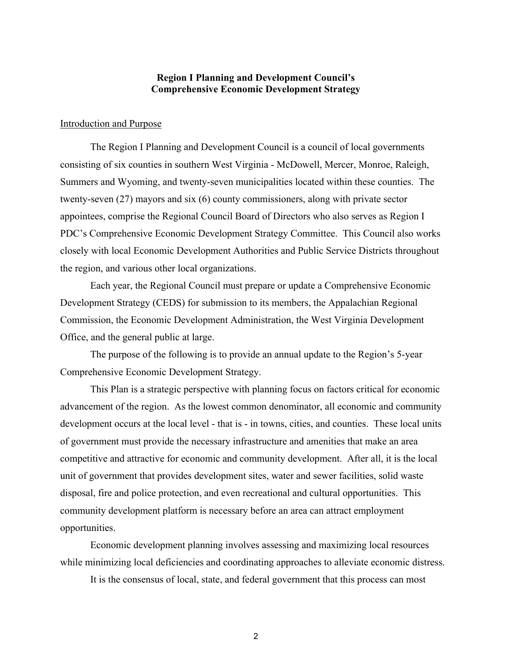#### **Region I Planning and Development Council's Comprehensive Economic Development Strategy**

#### Introduction and Purpose

The Region I Planning and Development Council is a council of local governments consisting of six counties in southern West Virginia - McDowell, Mercer, Monroe, Raleigh, Summers and Wyoming, and twenty-seven municipalities located within these counties. The twenty-seven (27) mayors and six (6) county commissioners, along with private sector appointees, comprise the Regional Council Board of Directors who also serves as Region I PDC's Comprehensive Economic Development Strategy Committee. This Council also works closely with local Economic Development Authorities and Public Service Districts throughout the region, and various other local organizations.

Each year, the Regional Council must prepare or update a Comprehensive Economic Development Strategy (CEDS) for submission to its members, the Appalachian Regional Commission, the Economic Development Administration, the West Virginia Development Office, and the general public at large.

The purpose of the following is to provide an annual update to the Region's 5-year Comprehensive Economic Development Strategy.

This Plan is a strategic perspective with planning focus on factors critical for economic advancement of the region. As the lowest common denominator, all economic and community development occurs at the local level - that is - in towns, cities, and counties. These local units of government must provide the necessary infrastructure and amenities that make an area competitive and attractive for economic and community development. After all, it is the local unit of government that provides development sites, water and sewer facilities, solid waste disposal, fire and police protection, and even recreational and cultural opportunities. This community development platform is necessary before an area can attract employment opportunities.

Economic development planning involves assessing and maximizing local resources while minimizing local deficiencies and coordinating approaches to alleviate economic distress.

It is the consensus of local, state, and federal government that this process can most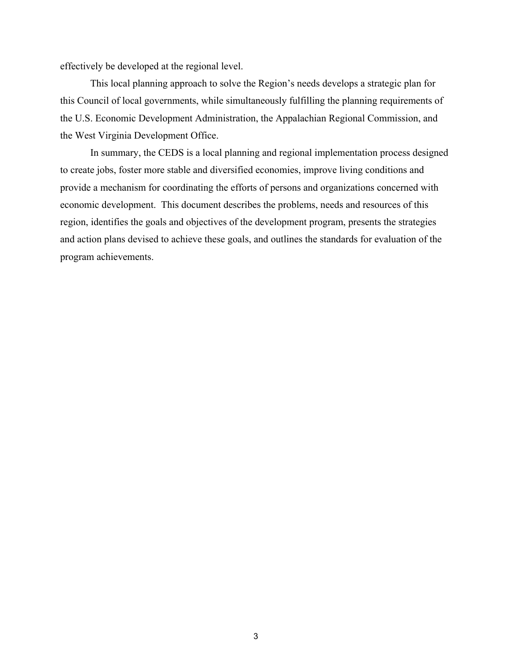effectively be developed at the regional level.

This local planning approach to solve the Region's needs develops a strategic plan for this Council of local governments, while simultaneously fulfilling the planning requirements of the U.S. Economic Development Administration, the Appalachian Regional Commission, and the West Virginia Development Office.

In summary, the CEDS is a local planning and regional implementation process designed to create jobs, foster more stable and diversified economies, improve living conditions and provide a mechanism for coordinating the efforts of persons and organizations concerned with economic development. This document describes the problems, needs and resources of this region, identifies the goals and objectives of the development program, presents the strategies and action plans devised to achieve these goals, and outlines the standards for evaluation of the program achievements.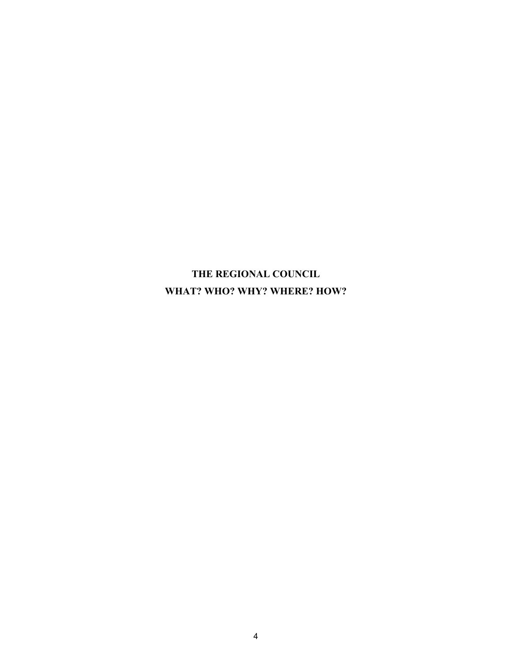**THE REGIONAL COUNCIL WHAT? WHO? WHY? WHERE? HOW?**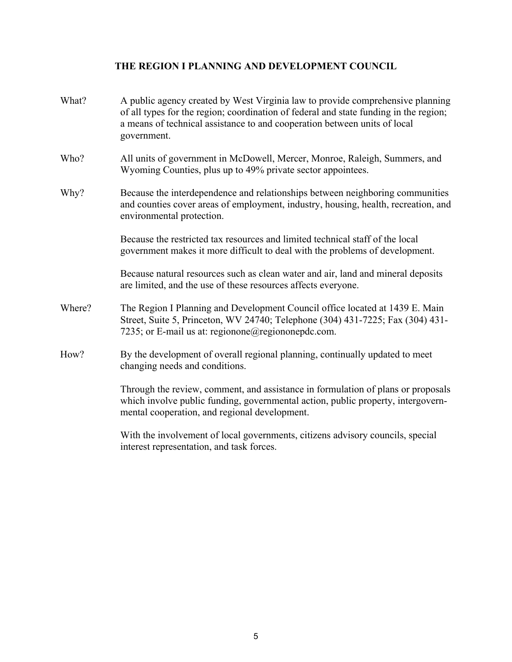## **THE REGION I PLANNING AND DEVELOPMENT COUNCIL**

| What?  | A public agency created by West Virginia law to provide comprehensive planning<br>of all types for the region; coordination of federal and state funding in the region;<br>a means of technical assistance to and cooperation between units of local<br>government. |
|--------|---------------------------------------------------------------------------------------------------------------------------------------------------------------------------------------------------------------------------------------------------------------------|
| Who?   | All units of government in McDowell, Mercer, Monroe, Raleigh, Summers, and<br>Wyoming Counties, plus up to 49% private sector appointees.                                                                                                                           |
| Why?   | Because the interdependence and relationships between neighboring communities<br>and counties cover areas of employment, industry, housing, health, recreation, and<br>environmental protection.                                                                    |
|        | Because the restricted tax resources and limited technical staff of the local<br>government makes it more difficult to deal with the problems of development.                                                                                                       |
|        | Because natural resources such as clean water and air, land and mineral deposits<br>are limited, and the use of these resources affects everyone.                                                                                                                   |
| Where? | The Region I Planning and Development Council office located at 1439 E. Main<br>Street, Suite 5, Princeton, WV 24740; Telephone (304) 431-7225; Fax (304) 431-<br>7235; or E-mail us at: regionone@regiononepdc.com.                                                |
| How?   | By the development of overall regional planning, continually updated to meet<br>changing needs and conditions.                                                                                                                                                      |
|        | Through the review, comment, and assistance in formulation of plans or proposals<br>which involve public funding, governmental action, public property, intergovern-<br>mental cooperation, and regional development.                                               |
|        | With the involvement of local governments, citizens advisory councils, special<br>interest representation, and task forces.                                                                                                                                         |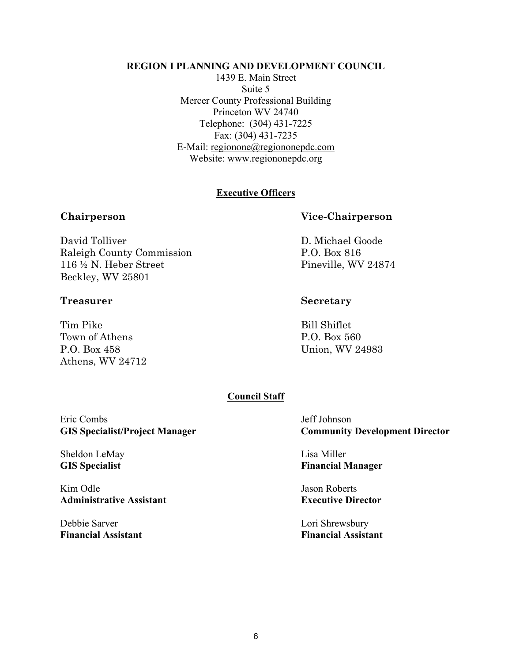#### **REGION I PLANNING AND DEVELOPMENT COUNCIL**

1439 E. Main Street Suite 5 Mercer County Professional Building Princeton WV 24740 Telephone: (304) 431-7225 Fax: (304) 431-7235 E-Mail: regionone@regiononepdc.com Website: www.regiononepdc.org

#### **Executive Officers**

David Tolliver D. Michael Goode Raleigh County Commission P.O. Box 816 116 ½ N. Heber Street Pineville, WV 24874 Beckley, WV 25801

#### **Treasurer Secretary**

Tim Pike Bill Shiflet Town of Athens P.O. Box 560 P.O. Box 458 Union, WV 24983 Athens, WV 24712

#### **Chairperson Vice-Chairperson**

#### **Council Staff**

Eric Combs Jeff Johnson

Sheldon LeMay Lisa Miller

Kim Odle Jason Roberts **Administrative Assistant Executive Director** 

Debbie Sarver Lori Shrewsbury **Financial Assistant Financial Assistant** 

**GIS Specialist/Project Manager Community Development Director**

**GIS Specialist Financial Manager**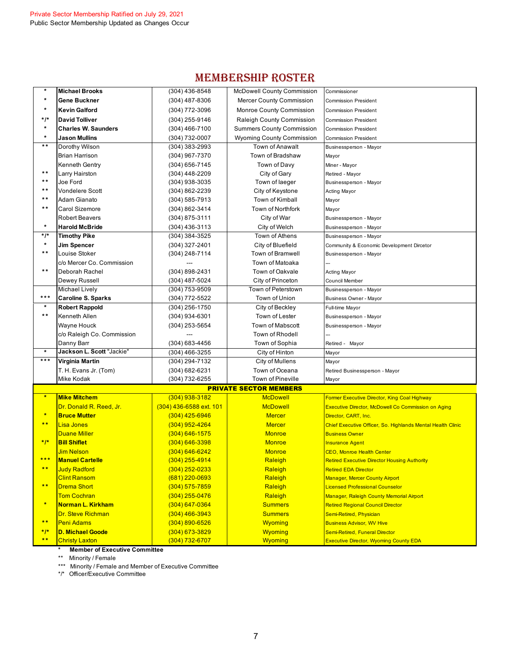# MEMBERSHIP ROSTER

| $\star$                 | <b>Michael Brooks</b>                          | $(304)$ 436-8548                 | <b>McDowell County Commission</b>                                    | Commissioner                                                |
|-------------------------|------------------------------------------------|----------------------------------|----------------------------------------------------------------------|-------------------------------------------------------------|
|                         | <b>Gene Buckner</b>                            | $(304)$ 487-8306                 | <b>Mercer County Commission</b>                                      | <b>Commission President</b>                                 |
| $\star$                 | <b>Kevin Galford</b>                           | (304) 772-3096                   | <b>Monroe County Commission</b>                                      | <b>Commission President</b>                                 |
| */*                     | <b>David Tolliver</b>                          | (304) 255-9146                   | Raleigh County Commission                                            |                                                             |
| $\star$                 | <b>Charles W. Saunders</b>                     | (304) 466-7100                   |                                                                      | <b>Commission President</b>                                 |
| $\star$                 | <b>Jason Mullins</b>                           | (304) 732-0007                   | <b>Summers County Commission</b><br><b>Wyoming County Commission</b> | <b>Commission President</b><br><b>Commission President</b>  |
| $\star \star$           | Dorothy Wilson                                 | $(304)$ 383-2993                 | <b>Town of Anawalt</b>                                               | Businessperson - Mayor                                      |
|                         | <b>Brian Harrison</b>                          | (304) 967-7370                   | Town of Bradshaw                                                     |                                                             |
|                         | Kenneth Gentry                                 | $(304)$ 656-7145                 | Town of Davy                                                         | Mayor                                                       |
| $\star \star$           |                                                |                                  | City of Gary                                                         | Miner - Mayor                                               |
| **                      | Larry Hairston<br>Joe Ford                     | (304) 448-2209<br>(304) 938-3035 | Town of laeger                                                       | Retired - Mayor<br>Businessperson - Mayor                   |
| $\star \star$           | Vondelere Scott                                | (304) 862-2239                   | City of Keystone                                                     | Acting Mayor                                                |
| $\star \star$           | Adam Gianato                                   | (304) 585-7913                   | Town of Kimball                                                      |                                                             |
| $\star \star$           | Carol Sizemore                                 | (304) 862-3414                   | Town of Northfork                                                    | Mayor                                                       |
|                         | <b>Robert Beavers</b>                          |                                  | City of War                                                          | Mayor                                                       |
| $\star$                 | <b>Harold McBride</b>                          | $(304)$ 875-3111                 |                                                                      | Businessperson - Mayor                                      |
| $*$ /*                  |                                                | $(304)$ 436-3113                 | City of Welch<br>Town of Athens                                      | Businessperson - Mayor                                      |
| $\star$                 | <b>Timothy Pike</b>                            | $(304)$ 384-3525                 |                                                                      | Businessperson - Mayor                                      |
| $\star \star$           | <b>Jim Spencer</b><br>Louise Stoker            | $(304)$ 327-2401                 | City of Bluefield<br>Town of Bramwell                                | Community & Economic Development Dircetor                   |
|                         |                                                | (304) 248-7114                   | Town of Matoaka                                                      | Businessperson - Mayor                                      |
| $\star \star$           | c/o Mercer Co. Commission                      |                                  |                                                                      |                                                             |
|                         | Deborah Rachel                                 | (304) 898-2431                   | Town of Oakvale                                                      | Acting Mayor                                                |
|                         | Dewey Russell                                  | (304) 487-5024                   | City of Princeton                                                    | Council Member                                              |
| ***                     | Michael Lively                                 | (304) 753-9509                   | Town of Peterstown                                                   | Businessperson - Mayor                                      |
| $\star$                 | <b>Caroline S. Sparks</b>                      | (304) 772-5522                   | Town of Union                                                        | Business Owner - Mayor                                      |
| $\star \star$           | <b>Robert Rappold</b>                          | $(304)$ 256-1750                 | City of Beckley                                                      | Full-time Mayor                                             |
|                         | Kenneth Allen                                  | (304) 934-6301                   | Town of Lester                                                       | Businessperson - Mayor                                      |
|                         | Wayne Houck                                    | $(304)$ 253-5654                 | <b>Town of Mabscott</b>                                              | Businessperson - Mayor                                      |
|                         | c/o Raleigh Co. Commission                     |                                  | Town of Rhodell                                                      |                                                             |
|                         | Danny Barr<br><b>Jackson L. Scott</b> "Jackie' | (304) 683-4456                   | Town of Sophia                                                       | Retired - Mayor                                             |
| ***                     |                                                | $(304)$ 466-3255                 | City of Hinton                                                       | Mayor                                                       |
|                         | Virginia Martin                                | (304) 294-7132                   | City of Mullens                                                      | Mayor                                                       |
|                         | T. H. Evans Jr. (Tom)                          | (304) 682-6231                   | Town of Oceana<br><b>Town of Pineville</b>                           | Retired Businessperson - Mayor                              |
|                         | Mike Kodak                                     | (304) 732-6255                   |                                                                      | Mayor                                                       |
| $\star$                 |                                                |                                  | <b>PRIVATE SECTOR MEMBERS</b>                                        |                                                             |
|                         | <b>Mike Mitchem</b>                            | $(304)$ 938-3182                 | <b>McDowell</b>                                                      | Former Executive Director, King Coal Highway                |
| $\frac{1}{2}$           | Dr. Donald R. Reed, Jr.                        | (304) 436-6588 ext. 101          | <b>McDowell</b>                                                      | <b>Executive Director, McDowell Co Commission on Aging</b>  |
| $* *$                   | <b>Bruce Mutter</b>                            | $(304)$ 425-6946                 | <b>Mercer</b>                                                        | Director, CART, Inc.                                        |
|                         | <b>Lisa Jones</b>                              | $(304)$ 952-4264                 | <b>Mercer</b>                                                        | Chief Executive Officer, So. Highlands Mental Health Clinic |
| $*1*$                   | <b>Duane Miller</b>                            | $(304)$ 646-1575                 | <b>Monroe</b>                                                        | <b>Business Owner</b>                                       |
|                         | <b>Bill Shiflet</b>                            | $(304) 646 - 3398$               | <b>Monroe</b>                                                        | <b>Insurance Agent</b>                                      |
|                         | <b>Jim Nelson</b>                              | $(304) 646 - 6242$               | <b>Monroe</b>                                                        | <b>CEO, Monroe Health Center</b>                            |
| $* *$                   | <b>Manuel Cartelle</b>                         | $(304)$ 255-4914                 | Raleigh                                                              | <b>Retired Executive Director Housing Authority</b>         |
|                         | <b>Judy Radford</b><br><b>Clint Ransom</b>     | $(304)$ 252-0233                 | Raleigh                                                              | <b>Retired EDA Director</b>                                 |
| $* *$                   |                                                | $(681)$ 220-0693                 | Raleigh                                                              | <b>Manager, Mercer County Airport</b>                       |
|                         | <b>Drema Short</b>                             | $(304)$ 575-7859                 | Raleigh                                                              | <b>Licensed Professional Counselor</b>                      |
| $\star$                 | <b>Tom Cochran</b>                             | $(304)$ 255-0476                 | Raleigh                                                              | Manager, Raleigh County Memorial Airport                    |
|                         | Norman L. Kirkham                              | $(304)$ 647-0364                 | <b>Summers</b>                                                       | <b>Retired Regional Council Director</b>                    |
| $***$                   | <b>Dr. Steve Richman</b>                       | $(304)$ 466-3943                 | <b>Summers</b>                                                       | Semi-Retired, Physician                                     |
|                         | <b>Peni Adams</b>                              | $(304) 890 - 6526$               | <b>Wyoming</b>                                                       | <b>Business Advisor, WV Hive</b>                            |
| $*$  *<br>$\star \star$ | <b>D. Michael Goode</b>                        | $(304)$ 673-3829                 | Wyoming                                                              | <b>Semi-Retired, Funeral Director</b>                       |
|                         | <b>Christy Laxton</b>                          | $(304)$ 732-6707                 | <b>Wyoming</b>                                                       | <b>Executive Director, Wyoming County EDA</b>               |

**\* Member of Executive Committee**

\*\* Minority / Female

\*\*\* Minority / Female and Member of Executive Committee

\*/\* Officer/Executive Committee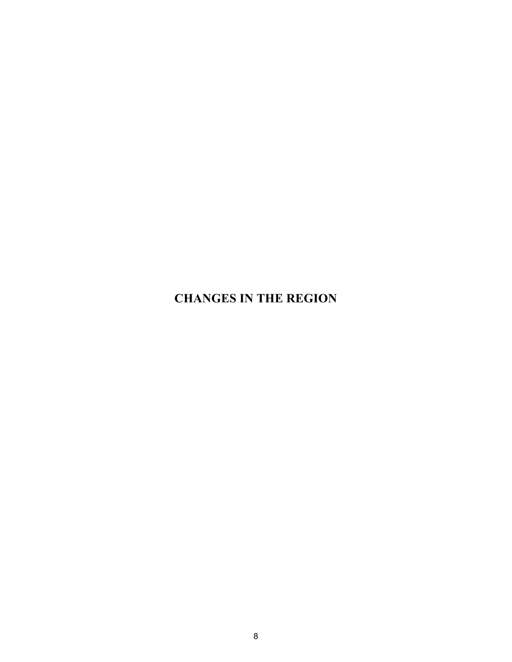**CHANGES IN THE REGION**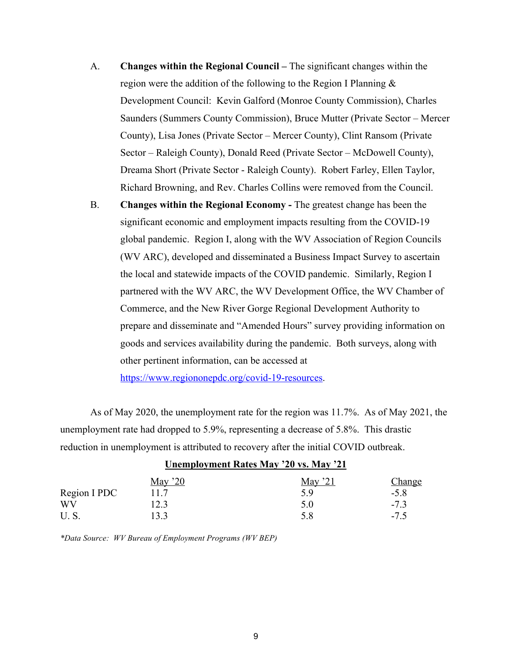- A. **Changes within the Regional Council –** The significant changes within the region were the addition of the following to the Region I Planning & Development Council: Kevin Galford (Monroe County Commission), Charles Saunders (Summers County Commission), Bruce Mutter (Private Sector – Mercer County), Lisa Jones (Private Sector – Mercer County), Clint Ransom (Private Sector – Raleigh County), Donald Reed (Private Sector – McDowell County), Dreama Short (Private Sector - Raleigh County). Robert Farley, Ellen Taylor, Richard Browning, and Rev. Charles Collins were removed from the Council.
- B. **Changes within the Regional Economy** The greatest change has been the significant economic and employment impacts resulting from the COVID-19 global pandemic. Region I, along with the WV Association of Region Councils (WV ARC), developed and disseminated a Business Impact Survey to ascertain the local and statewide impacts of the COVID pandemic. Similarly, Region I partnered with the WV ARC, the WV Development Office, the WV Chamber of Commerce, and the New River Gorge Regional Development Authority to prepare and disseminate and "Amended Hours" survey providing information on goods and services availability during the pandemic. Both surveys, along with other pertinent information, can be accessed at

https://www.regiononepdc.org/covid-19-resources.

As of May 2020, the unemployment rate for the region was 11.7%. As of May 2021, the unemployment rate had dropped to 5.9%, representing a decrease of 5.8%. This drastic reduction in unemployment is attributed to recovery after the initial COVID outbreak.

| May $20$ | May $21$ | <b>Change</b>                                                                                                                                                                                                                                                                                    |
|----------|----------|--------------------------------------------------------------------------------------------------------------------------------------------------------------------------------------------------------------------------------------------------------------------------------------------------|
| 11.7     | 5.9      | $-5.8$                                                                                                                                                                                                                                                                                           |
| 12.3     | 5.0      | $-7.3$                                                                                                                                                                                                                                                                                           |
|          | 5.8      | $-7.5$                                                                                                                                                                                                                                                                                           |
|          |          | $\mathbf{C}$ and $\mathbf{C}$ and $\mathbf{C}$ and $\mathbf{C}$ and $\mathbf{C}$ and $\mathbf{C}$ and $\mathbf{C}$ and $\mathbf{C}$ and $\mathbf{C}$ and $\mathbf{C}$ and $\mathbf{C}$ and $\mathbf{C}$ and $\mathbf{C}$ and $\mathbf{C}$ and $\mathbf{C}$ and $\mathbf{C}$ and $\mathbf{C}$ and |

**Unemployment Rates May '20 vs. May '21**

*\*Data Source: WV Bureau of Employment Programs (WV BEP)*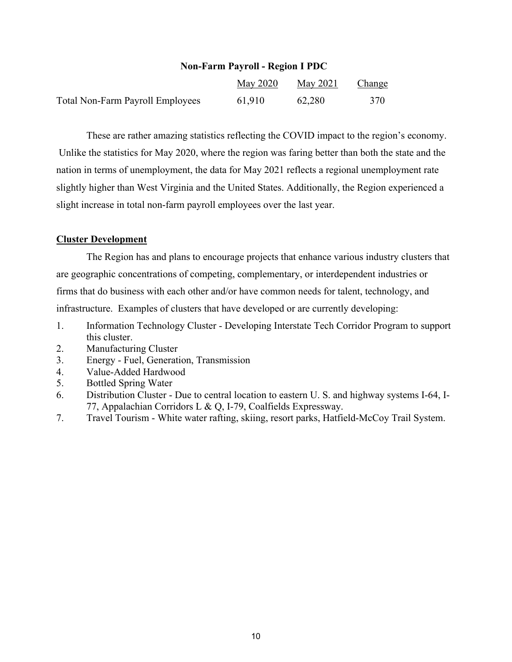#### **Non-Farm Payroll - Region I PDC**

|                                  | May 2020 | May 2021 | <u>Change</u> |
|----------------------------------|----------|----------|---------------|
| Total Non-Farm Payroll Employees | 61,910   | 62,280   | 370           |

These are rather amazing statistics reflecting the COVID impact to the region's economy. Unlike the statistics for May 2020, where the region was faring better than both the state and the nation in terms of unemployment, the data for May 2021 reflects a regional unemployment rate slightly higher than West Virginia and the United States. Additionally, the Region experienced a slight increase in total non-farm payroll employees over the last year.

#### **Cluster Development**

The Region has and plans to encourage projects that enhance various industry clusters that are geographic concentrations of competing, complementary, or interdependent industries or firms that do business with each other and/or have common needs for talent, technology, and infrastructure. Examples of clusters that have developed or are currently developing:

- 1. Information Technology Cluster Developing Interstate Tech Corridor Program to support this cluster.
- 2. Manufacturing Cluster
- 3. Energy Fuel, Generation, Transmission
- 4. Value-Added Hardwood
- 5. Bottled Spring Water
- 6. Distribution Cluster Due to central location to eastern U. S. and highway systems I-64, I-77, Appalachian Corridors L & Q, I-79, Coalfields Expressway.
- 7. Travel Tourism White water rafting, skiing, resort parks, Hatfield-McCoy Trail System.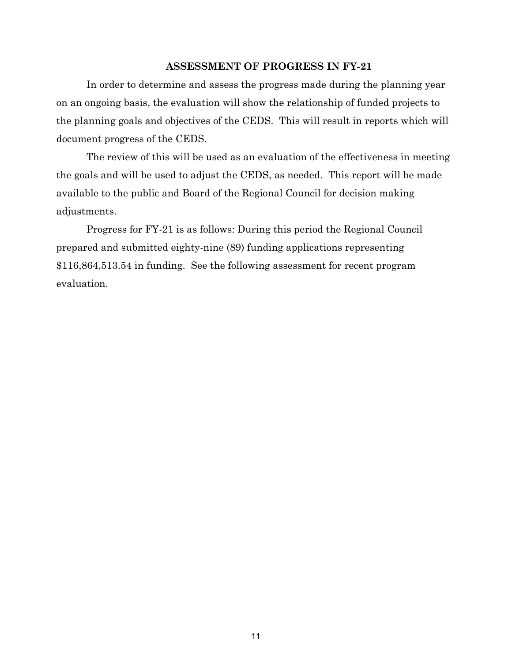#### **ASSESSMENT OF PROGRESS IN FY-21**

In order to determine and assess the progress made during the planning year on an ongoing basis, the evaluation will show the relationship of funded projects to the planning goals and objectives of the CEDS. This will result in reports which will document progress of the CEDS.

The review of this will be used as an evaluation of the effectiveness in meeting the goals and will be used to adjust the CEDS, as needed. This report will be made available to the public and Board of the Regional Council for decision making adjustments.

Progress for FY-21 is as follows: During this period the Regional Council prepared and submitted eighty-nine (89) funding applications representing \$116,864,513.54 in funding. See the following assessment for recent program evaluation.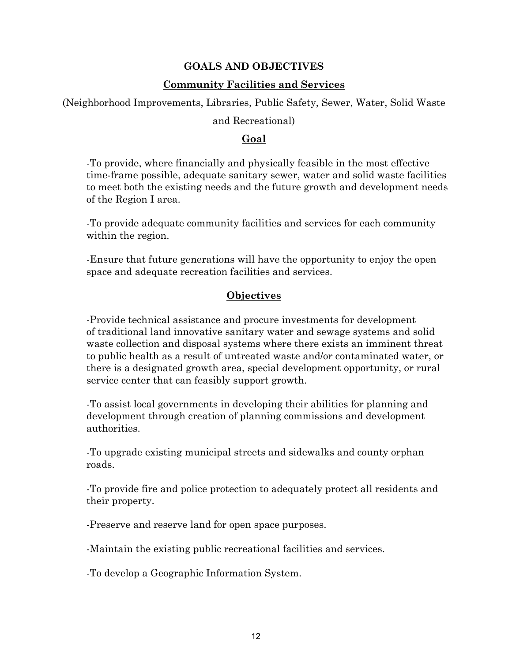## **GOALS AND OBJECTIVES**

#### **Community Facilities and Services**

(Neighborhood Improvements, Libraries, Public Safety, Sewer, Water, Solid Waste

#### and Recreational)

## **Goal**

-To provide, where financially and physically feasible in the most effective time-frame possible, adequate sanitary sewer, water and solid waste facilities to meet both the existing needs and the future growth and development needs of the Region I area.

-To provide adequate community facilities and services for each community within the region.

-Ensure that future generations will have the opportunity to enjoy the open space and adequate recreation facilities and services.

## **Objectives**

-Provide technical assistance and procure investments for development of traditional land innovative sanitary water and sewage systems and solid waste collection and disposal systems where there exists an imminent threat to public health as a result of untreated waste and/or contaminated water, or there is a designated growth area, special development opportunity, or rural service center that can feasibly support growth.

-To assist local governments in developing their abilities for planning and development through creation of planning commissions and development authorities.

-To upgrade existing municipal streets and sidewalks and county orphan roads.

-To provide fire and police protection to adequately protect all residents and their property.

-Preserve and reserve land for open space purposes.

-Maintain the existing public recreational facilities and services.

-To develop a Geographic Information System.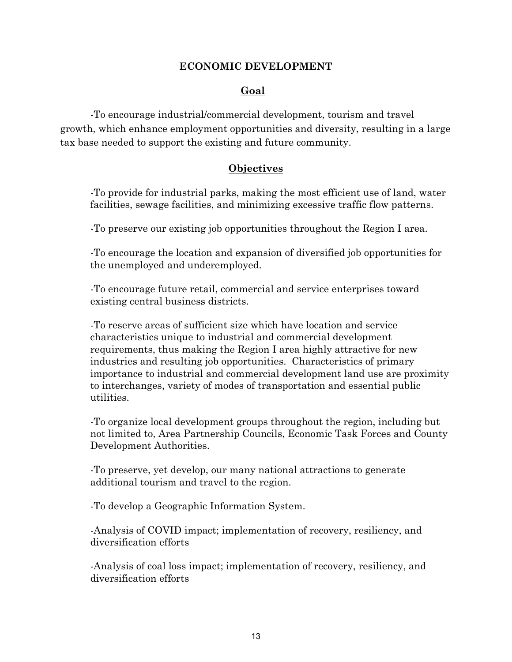### **ECONOMIC DEVELOPMENT**

## **Goal**

-To encourage industrial/commercial development, tourism and travel growth, which enhance employment opportunities and diversity, resulting in a large tax base needed to support the existing and future community.

### **Objectives**

-To provide for industrial parks, making the most efficient use of land, water facilities, sewage facilities, and minimizing excessive traffic flow patterns.

-To preserve our existing job opportunities throughout the Region I area.

-To encourage the location and expansion of diversified job opportunities for the unemployed and underemployed.

-To encourage future retail, commercial and service enterprises toward existing central business districts.

-To reserve areas of sufficient size which have location and service characteristics unique to industrial and commercial development requirements, thus making the Region I area highly attractive for new industries and resulting job opportunities. Characteristics of primary importance to industrial and commercial development land use are proximity to interchanges, variety of modes of transportation and essential public utilities.

-To organize local development groups throughout the region, including but not limited to, Area Partnership Councils, Economic Task Forces and County Development Authorities.

-To preserve, yet develop, our many national attractions to generate additional tourism and travel to the region.

-To develop a Geographic Information System.

-Analysis of COVID impact; implementation of recovery, resiliency, and diversification efforts

-Analysis of coal loss impact; implementation of recovery, resiliency, and diversification efforts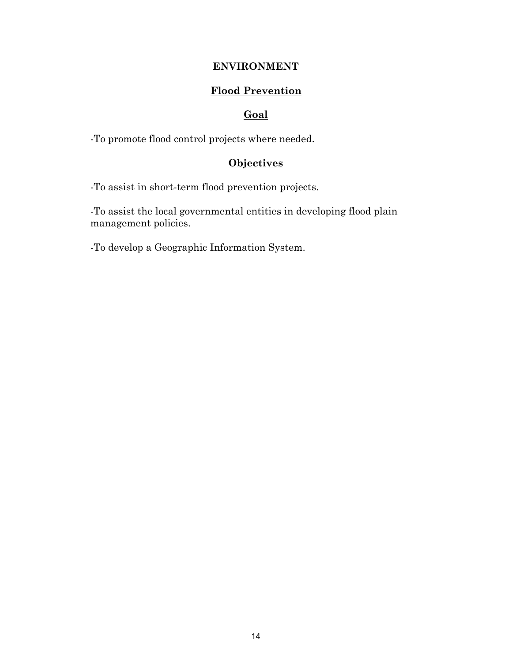## **ENVIRONMENT**

## **Flood Prevention**

#### **Goal**

-To promote flood control projects where needed.

## **Objectives**

-To assist in short-term flood prevention projects.

-To assist the local governmental entities in developing flood plain management policies.

-To develop a Geographic Information System.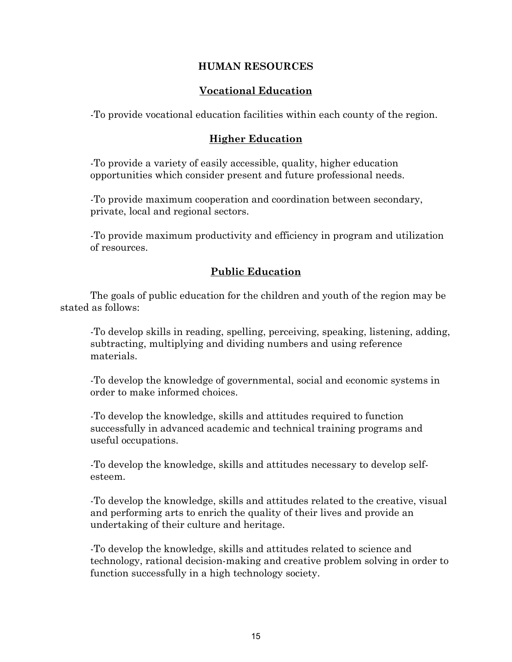## **HUMAN RESOURCES**

## **Vocational Education**

-To provide vocational education facilities within each county of the region.

#### **Higher Education**

-To provide a variety of easily accessible, quality, higher education opportunities which consider present and future professional needs.

-To provide maximum cooperation and coordination between secondary, private, local and regional sectors.

-To provide maximum productivity and efficiency in program and utilization of resources.

## **Public Education**

The goals of public education for the children and youth of the region may be stated as follows:

-To develop skills in reading, spelling, perceiving, speaking, listening, adding, subtracting, multiplying and dividing numbers and using reference materials.

-To develop the knowledge of governmental, social and economic systems in order to make informed choices.

-To develop the knowledge, skills and attitudes required to function successfully in advanced academic and technical training programs and useful occupations.

-To develop the knowledge, skills and attitudes necessary to develop selfesteem.

-To develop the knowledge, skills and attitudes related to the creative, visual and performing arts to enrich the quality of their lives and provide an undertaking of their culture and heritage.

-To develop the knowledge, skills and attitudes related to science and technology, rational decision-making and creative problem solving in order to function successfully in a high technology society.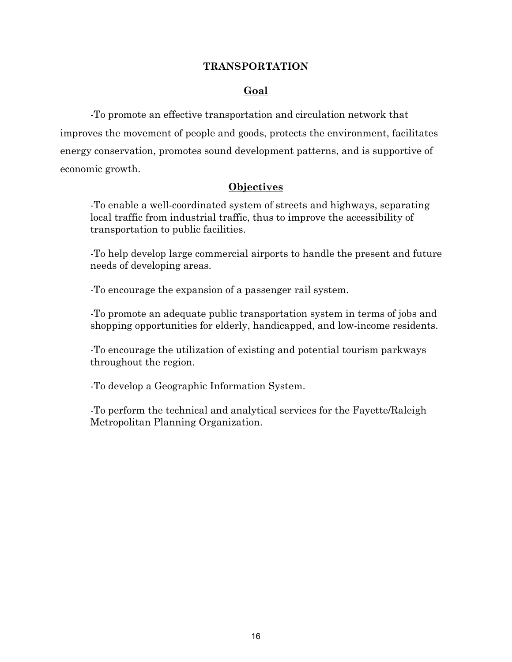#### **TRANSPORTATION**

## **Goal**

-To promote an effective transportation and circulation network that improves the movement of people and goods, protects the environment, facilitates energy conservation, promotes sound development patterns, and is supportive of economic growth.

## **Objectives**

-To enable a well-coordinated system of streets and highways, separating local traffic from industrial traffic, thus to improve the accessibility of transportation to public facilities.

-To help develop large commercial airports to handle the present and future needs of developing areas.

-To encourage the expansion of a passenger rail system.

-To promote an adequate public transportation system in terms of jobs and shopping opportunities for elderly, handicapped, and low-income residents.

-To encourage the utilization of existing and potential tourism parkways throughout the region.

-To develop a Geographic Information System.

-To perform the technical and analytical services for the Fayette/Raleigh Metropolitan Planning Organization.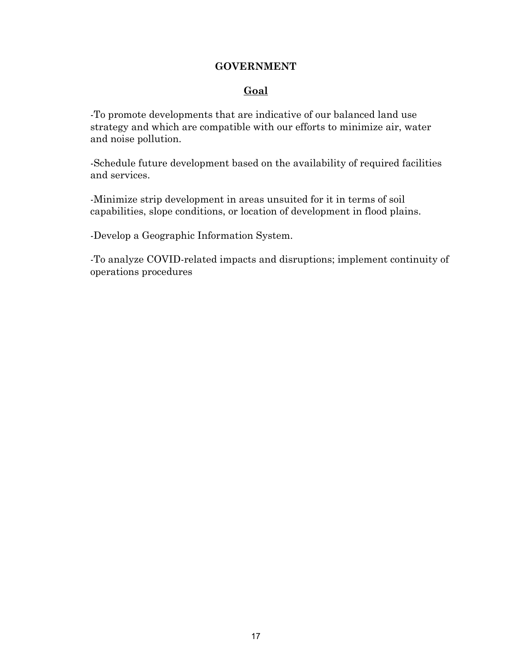#### **GOVERNMENT**

## **Goal**

-To promote developments that are indicative of our balanced land use strategy and which are compatible with our efforts to minimize air, water and noise pollution.

-Schedule future development based on the availability of required facilities and services.

-Minimize strip development in areas unsuited for it in terms of soil capabilities, slope conditions, or location of development in flood plains.

-Develop a Geographic Information System.

-To analyze COVID-related impacts and disruptions; implement continuity of operations procedures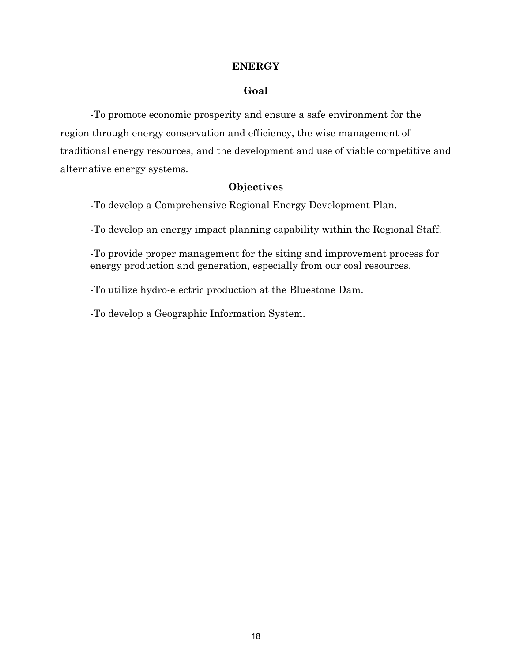#### **ENERGY**

#### **Goal**

-To promote economic prosperity and ensure a safe environment for the region through energy conservation and efficiency, the wise management of traditional energy resources, and the development and use of viable competitive and alternative energy systems.

#### **Objectives**

-To develop a Comprehensive Regional Energy Development Plan.

-To develop an energy impact planning capability within the Regional Staff.

-To provide proper management for the siting and improvement process for energy production and generation, especially from our coal resources.

-To utilize hydro-electric production at the Bluestone Dam.

-To develop a Geographic Information System.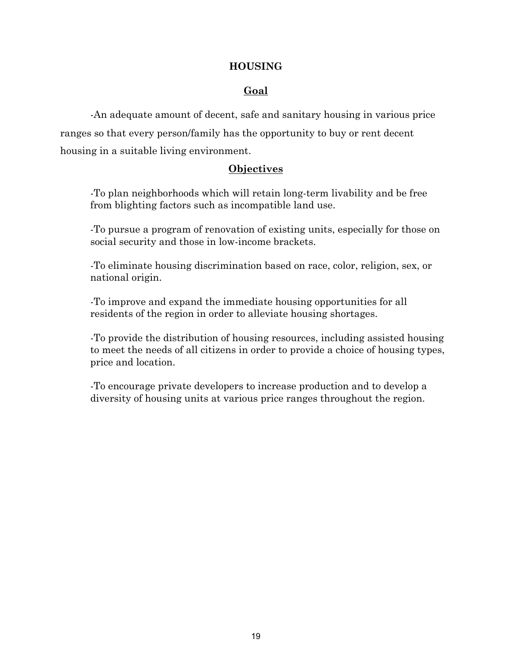### **HOUSING**

## **Goal**

-An adequate amount of decent, safe and sanitary housing in various price ranges so that every person/family has the opportunity to buy or rent decent housing in a suitable living environment.

## **Objectives**

-To plan neighborhoods which will retain long-term livability and be free from blighting factors such as incompatible land use.

-To pursue a program of renovation of existing units, especially for those on social security and those in low-income brackets.

-To eliminate housing discrimination based on race, color, religion, sex, or national origin.

-To improve and expand the immediate housing opportunities for all residents of the region in order to alleviate housing shortages.

-To provide the distribution of housing resources, including assisted housing to meet the needs of all citizens in order to provide a choice of housing types, price and location.

-To encourage private developers to increase production and to develop a diversity of housing units at various price ranges throughout the region.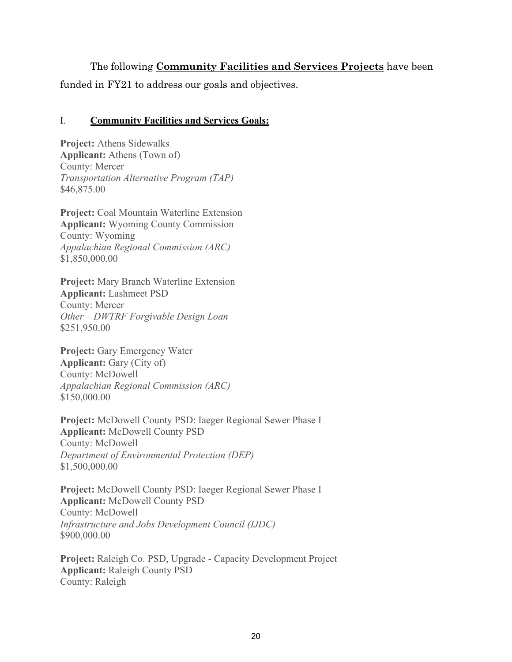The following **Community Facilities and Services Projects** have been funded in FY21 to address our goals and objectives.

#### I. **Community Facilities and Services Goals:**

**Project:** Athens Sidewalks **Applicant:** Athens (Town of) County: Mercer *Transportation Alternative Program (TAP)* \$46,875.00

**Project:** Coal Mountain Waterline Extension **Applicant:** Wyoming County Commission County: Wyoming *Appalachian Regional Commission (ARC)* \$1,850,000.00

**Project:** Mary Branch Waterline Extension **Applicant:** Lashmeet PSD County: Mercer *Other – DWTRF Forgivable Design Loan* \$251,950.00

**Project:** Gary Emergency Water **Applicant:** Gary (City of) County: McDowell *Appalachian Regional Commission (ARC)* \$150,000.00

**Project:** McDowell County PSD: Iaeger Regional Sewer Phase I **Applicant:** McDowell County PSD County: McDowell *Department of Environmental Protection (DEP)* \$1,500,000.00

**Project:** McDowell County PSD: Iaeger Regional Sewer Phase I **Applicant:** McDowell County PSD County: McDowell *Infrastructure and Jobs Development Council (IJDC)* \$900,000.00

**Project:** Raleigh Co. PSD, Upgrade - Capacity Development Project **Applicant:** Raleigh County PSD County: Raleigh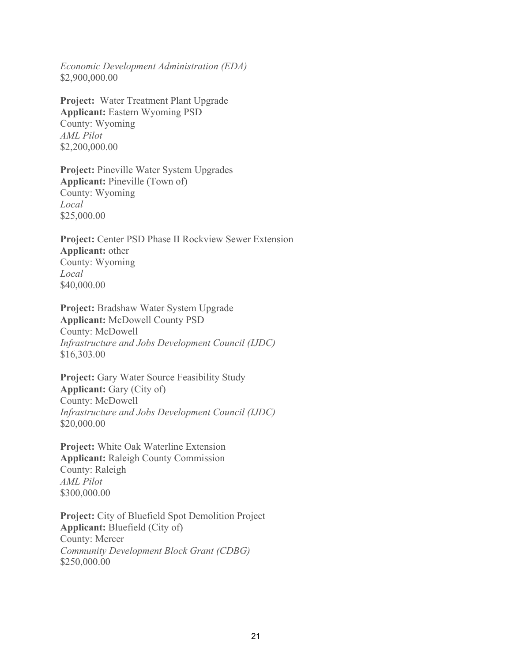*Economic Development Administration (EDA)* \$2,900,000.00

**Project:** Water Treatment Plant Upgrade **Applicant:** Eastern Wyoming PSD County: Wyoming *AML Pilot* \$2,200,000.00

**Project:** Pineville Water System Upgrades **Applicant:** Pineville (Town of) County: Wyoming *Local* \$25,000.00

**Project:** Center PSD Phase II Rockview Sewer Extension **Applicant:** other County: Wyoming *Local* \$40,000.00

**Project:** Bradshaw Water System Upgrade **Applicant:** McDowell County PSD County: McDowell *Infrastructure and Jobs Development Council (IJDC)* \$16,303.00

**Project:** Gary Water Source Feasibility Study **Applicant:** Gary (City of) County: McDowell *Infrastructure and Jobs Development Council (IJDC)* \$20,000.00

**Project:** White Oak Waterline Extension **Applicant:** Raleigh County Commission County: Raleigh *AML Pilot* \$300,000.00

**Project:** City of Bluefield Spot Demolition Project **Applicant:** Bluefield (City of) County: Mercer *Community Development Block Grant (CDBG)* \$250,000.00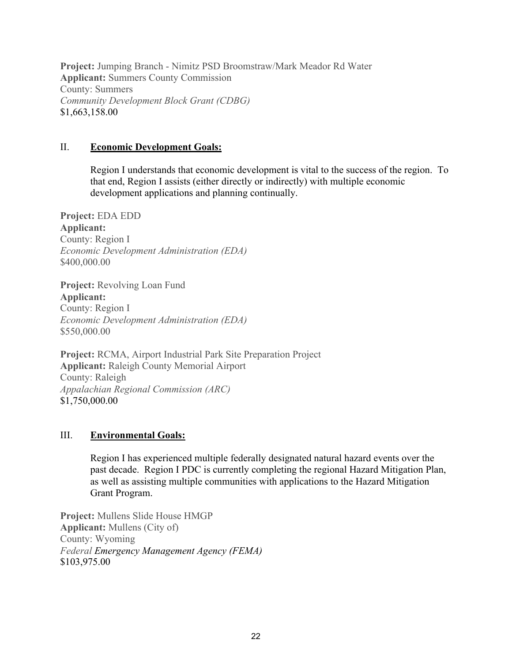**Project:** Jumping Branch - Nimitz PSD Broomstraw/Mark Meador Rd Water **Applicant:** Summers County Commission County: Summers *Community Development Block Grant (CDBG)* \$1,663,158.00

#### II. **Economic Development Goals:**

Region I understands that economic development is vital to the success of the region. To that end, Region I assists (either directly or indirectly) with multiple economic development applications and planning continually.

**Project:** EDA EDD **Applicant:** County: Region I *Economic Development Administration (EDA)* \$400,000.00

**Project:** Revolving Loan Fund **Applicant:** County: Region I *Economic Development Administration (EDA)* \$550,000.00

**Project:** RCMA, Airport Industrial Park Site Preparation Project **Applicant:** Raleigh County Memorial Airport County: Raleigh *Appalachian Regional Commission (ARC)* \$1,750,000.00

#### III. **Environmental Goals:**

Region I has experienced multiple federally designated natural hazard events over the past decade. Region I PDC is currently completing the regional Hazard Mitigation Plan, as well as assisting multiple communities with applications to the Hazard Mitigation Grant Program.

**Project:** Mullens Slide House HMGP **Applicant:** Mullens (City of) County: Wyoming *Federal Emergency Management Agency (FEMA)* \$103,975.00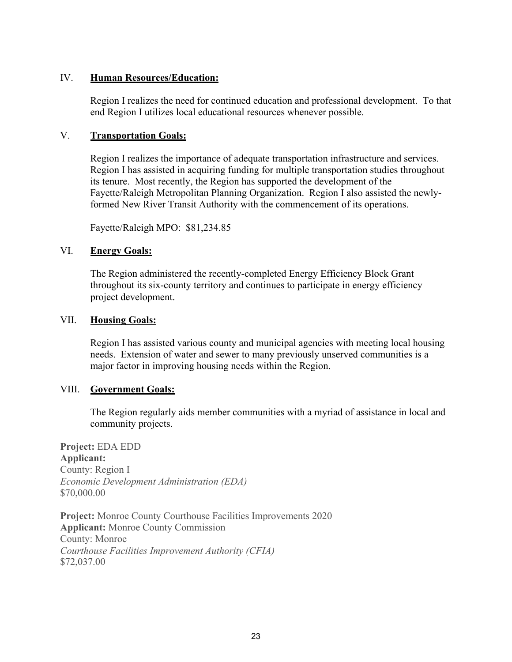#### IV. **Human Resources/Education:**

Region I realizes the need for continued education and professional development. To that end Region I utilizes local educational resources whenever possible.

#### V. **Transportation Goals:**

Region I realizes the importance of adequate transportation infrastructure and services. Region I has assisted in acquiring funding for multiple transportation studies throughout its tenure. Most recently, the Region has supported the development of the Fayette/Raleigh Metropolitan Planning Organization. Region I also assisted the newlyformed New River Transit Authority with the commencement of its operations.

Fayette/Raleigh MPO: \$81,234.85

#### VI. **Energy Goals:**

The Region administered the recently-completed Energy Efficiency Block Grant throughout its six-county territory and continues to participate in energy efficiency project development.

#### VII. **Housing Goals:**

Region I has assisted various county and municipal agencies with meeting local housing needs. Extension of water and sewer to many previously unserved communities is a major factor in improving housing needs within the Region.

#### VIII. **Government Goals:**

The Region regularly aids member communities with a myriad of assistance in local and community projects.

**Project:** EDA EDD **Applicant:** County: Region I *Economic Development Administration (EDA)* \$70,000.00

**Project:** Monroe County Courthouse Facilities Improvements 2020 **Applicant:** Monroe County Commission County: Monroe *Courthouse Facilities Improvement Authority (CFIA)* \$72,037.00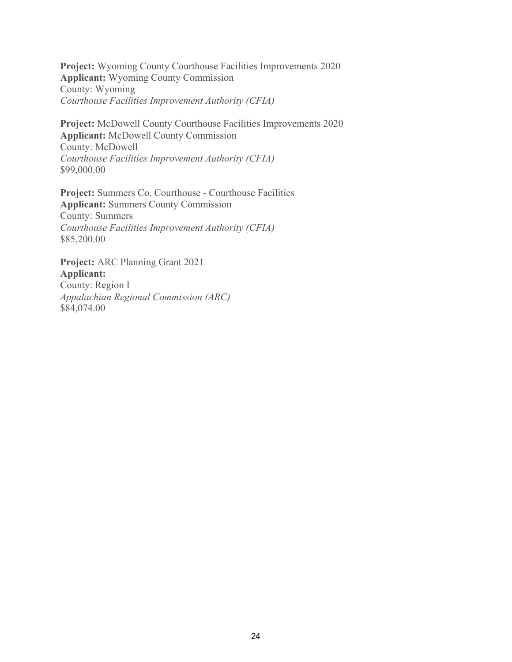**Project:** Wyoming County Courthouse Facilities Improvements 2020 **Applicant:** Wyoming County Commission County: Wyoming *Courthouse Facilities Improvement Authority (CFIA)*

**Project:** McDowell County Courthouse Facilities Improvements 2020 **Applicant:** McDowell County Commission County: McDowell *Courthouse Facilities Improvement Authority (CFIA)* \$99,000.00

**Project:** Summers Co. Courthouse - Courthouse Facilities **Applicant:** Summers County Commission County: Summers *Courthouse Facilities Improvement Authority (CFIA)* \$85,200.00

**Project:** ARC Planning Grant 2021 **Applicant:** County: Region I *Appalachian Regional Commission (ARC)* \$84,074.00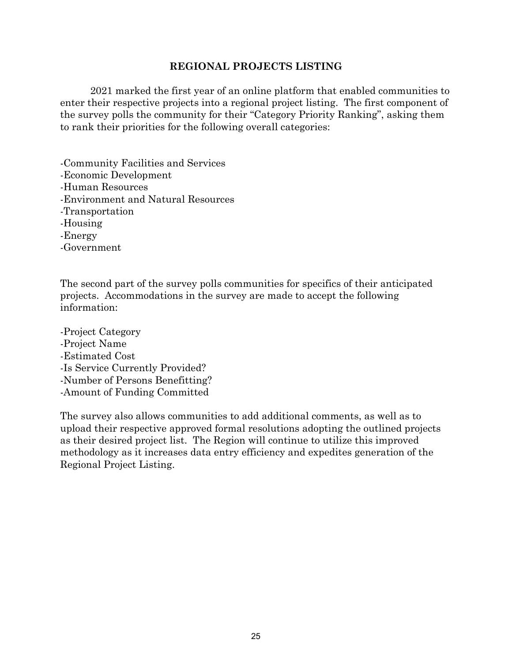#### **REGIONAL PROJECTS LISTING**

2021 marked the first year of an online platform that enabled communities to enter their respective projects into a regional project listing. The first component of the survey polls the community for their "Category Priority Ranking", asking them to rank their priorities for the following overall categories:

- -Community Facilities and Services
- -Economic Development
- -Human Resources
- -Environment and Natural Resources
- -Transportation
- -Housing
- -Energy
- -Government

The second part of the survey polls communities for specifics of their anticipated projects. Accommodations in the survey are made to accept the following information:

-Project Category -Project Name -Estimated Cost -Is Service Currently Provided? -Number of Persons Benefitting? -Amount of Funding Committed

The survey also allows communities to add additional comments, as well as to upload their respective approved formal resolutions adopting the outlined projects as their desired project list. The Region will continue to utilize this improved methodology as it increases data entry efficiency and expedites generation of the Regional Project Listing.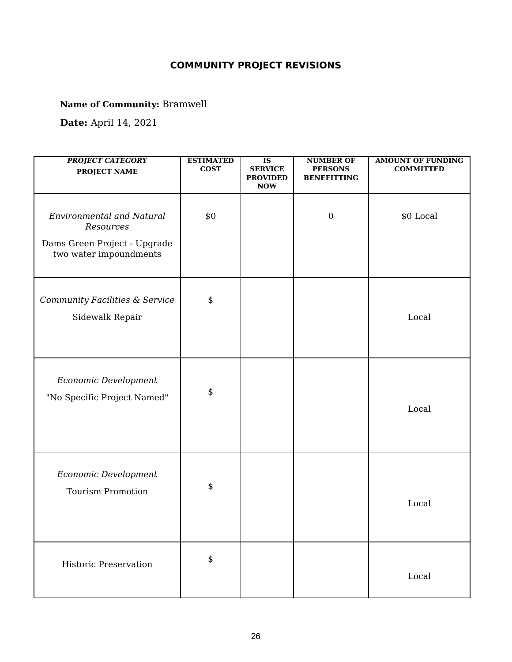# **COMMUNITY PROJECT REVISIONS**

**Name of Community:** Bramwell

**Date:** April 14, 2021

| <b>PROJECT CATEGORY</b><br><b>PROJECT NAME</b>                                                          | <b>ESTIMATED</b><br><b>COST</b> | $\overline{\text{IS}}$<br><b>SERVICE</b><br><b>PROVIDED</b><br><b>NOW</b> | <b>NUMBER OF</b><br><b>PERSONS</b><br><b>BENEFITTING</b> | <b>AMOUNT OF FUNDING</b><br><b>COMMITTED</b> |
|---------------------------------------------------------------------------------------------------------|---------------------------------|---------------------------------------------------------------------------|----------------------------------------------------------|----------------------------------------------|
| <b>Environmental and Natural</b><br>Resources<br>Dams Green Project - Upgrade<br>two water impoundments | \$0                             |                                                                           | $\boldsymbol{0}$                                         | \$0 Local                                    |
| Community Facilities & Service<br>Sidewalk Repair                                                       | \$                              |                                                                           |                                                          | Local                                        |
| Economic Development<br>"No Specific Project Named"                                                     | \$                              |                                                                           |                                                          | Local                                        |
| Economic Development<br><b>Tourism Promotion</b>                                                        | \$                              |                                                                           |                                                          | Local                                        |
| <b>Historic Preservation</b>                                                                            | \$                              |                                                                           |                                                          | Local                                        |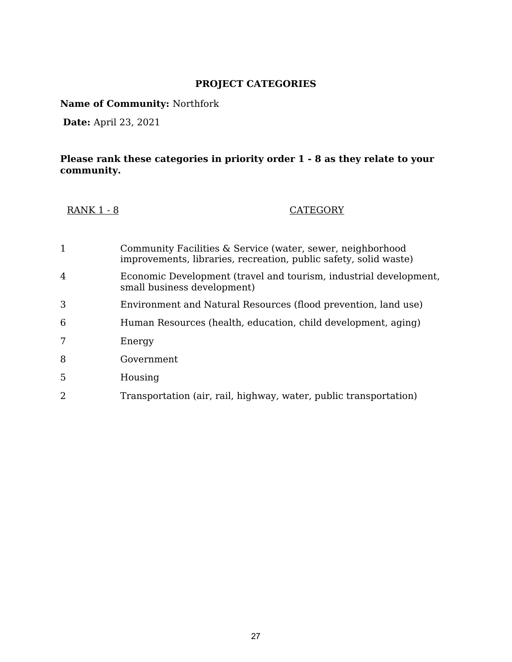## **PROJECT CATEGORIES**

**Name of Community:** Northfork

**Date:** April 23, 2021

## **Please rank these categories in priority order 1 - 8 as they relate to your community.**

| <b>RANK 1 - 8</b> | <b>CATEGORY</b> |
|-------------------|-----------------|
|-------------------|-----------------|

| 1              | Community Facilities & Service (water, sewer, neighborhood<br>improvements, libraries, recreation, public safety, solid waste) |
|----------------|--------------------------------------------------------------------------------------------------------------------------------|
| $\overline{4}$ | Economic Development (travel and tourism, industrial development,<br>small business development)                               |
| 3              | Environment and Natural Resources (flood prevention, land use)                                                                 |
| 6              | Human Resources (health, education, child development, aging)                                                                  |
|                | Energy                                                                                                                         |
| 8              | Government                                                                                                                     |
| 5              | Housing                                                                                                                        |
| $\overline{2}$ | Transportation (air, rail, highway, water, public transportation)                                                              |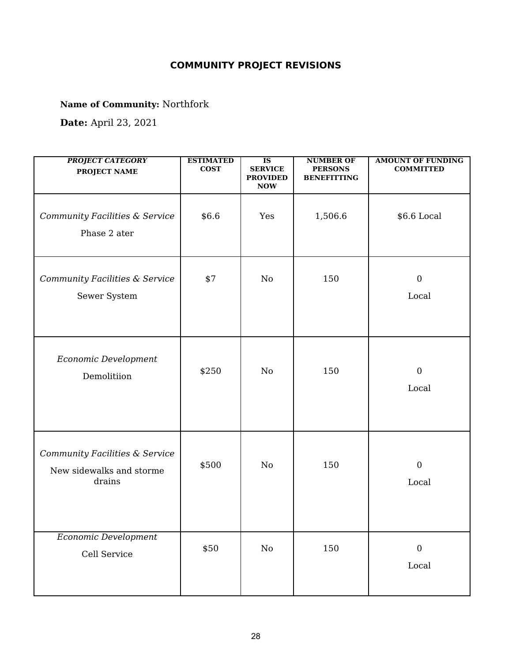# **COMMUNITY PROJECT REVISIONS**

**Name of Community:** Northfork

**Date:** April 23, 2021

| <b>PROJECT CATEGORY</b><br><b>PROJECT NAME</b>                       | <b>ESTIMATED</b><br><b>COST</b> | $\overline{\text{IS}}$<br><b>SERVICE</b><br><b>PROVIDED</b><br><b>NOW</b> | <b>NUMBER OF</b><br><b>PERSONS</b><br><b>BENEFITTING</b> | <b>AMOUNT OF FUNDING</b><br><b>COMMITTED</b> |
|----------------------------------------------------------------------|---------------------------------|---------------------------------------------------------------------------|----------------------------------------------------------|----------------------------------------------|
| Community Facilities & Service<br>Phase 2 ater                       | \$6.6                           | Yes                                                                       | 1,506.6                                                  | \$6.6 Local                                  |
| Community Facilities & Service<br>Sewer System                       | \$7                             | No                                                                        | 150                                                      | $\boldsymbol{0}$<br>Local                    |
| Economic Development<br>Demolitiion                                  | \$250                           | No                                                                        | 150                                                      | $\boldsymbol{0}$<br>Local                    |
| Community Facilities & Service<br>New sidewalks and storme<br>drains | \$500                           | No                                                                        | 150                                                      | $\boldsymbol{0}$<br>Local                    |
| Economic Development<br>Cell Service                                 | \$50                            | $\rm No$                                                                  | 150                                                      | $\boldsymbol{0}$<br>$_{\rm Local}$           |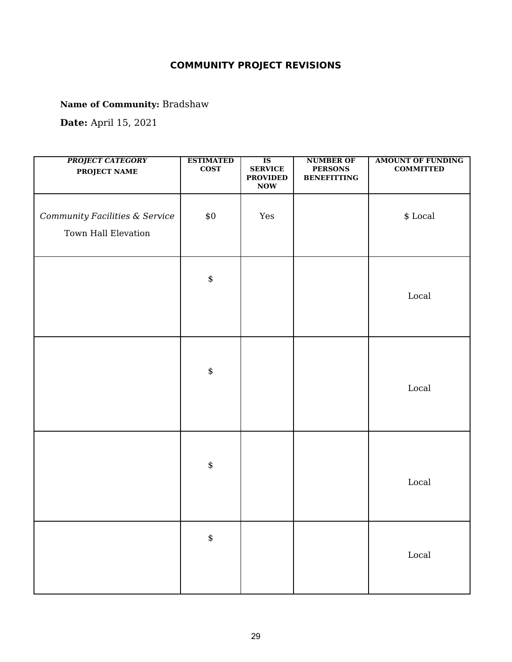# **COMMUNITY PROJECT REVISIONS**

**Name of Community:** Bradshaw

**Date:** April 15, 2021

| <b>PROJECT CATEGORY</b><br><b>PROJECT NAME</b>        | <b>ESTIMATED</b><br>$\cos$ | $\overline{\text{IS}}$<br><b>SERVICE</b><br><b>PROVIDED</b><br>$\bf{Now}$ | <b>NUMBER OF</b><br><b>PERSONS</b><br><b>BENEFITTING</b> | <b>AMOUNT OF FUNDING</b><br><b>COMMITTED</b> |
|-------------------------------------------------------|----------------------------|---------------------------------------------------------------------------|----------------------------------------------------------|----------------------------------------------|
| Community Facilities & Service<br>Town Hall Elevation | \$0\$                      | Yes                                                                       |                                                          | $\$$ Local                                   |
|                                                       | $\pmb{\$}$                 |                                                                           |                                                          | $_{\rm Local}$                               |
|                                                       | $\pmb{\$}$                 |                                                                           |                                                          | $_{\mbox{\small Local}}$                     |
|                                                       | $\pmb{\$}$                 |                                                                           |                                                          | Local                                        |
|                                                       | $\pmb{\$}$                 |                                                                           |                                                          | $_{\rm Local}$                               |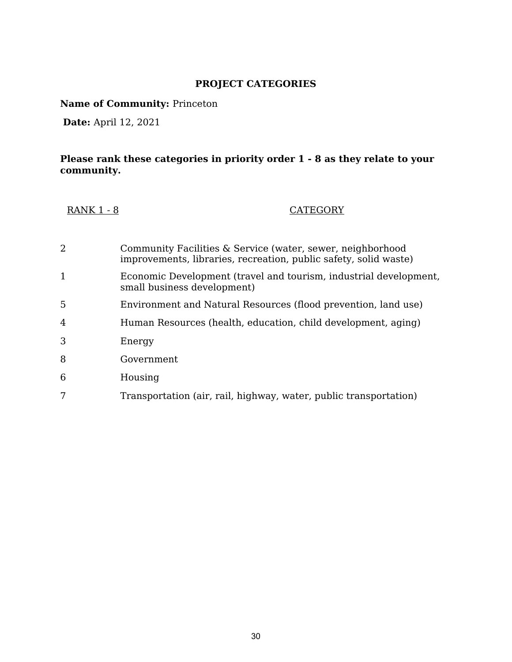## **PROJECT CATEGORIES**

**Name of Community:** Princeton

**Date:** April 12, 2021

## **Please rank these categories in priority order 1 - 8 as they relate to your community.**

| <b>RANK 1 - 8</b> | <b>CATEGORY</b> |
|-------------------|-----------------|
|-------------------|-----------------|

| 2            | Community Facilities & Service (water, sewer, neighborhood<br>improvements, libraries, recreation, public safety, solid waste) |
|--------------|--------------------------------------------------------------------------------------------------------------------------------|
| $\mathbf{1}$ | Economic Development (travel and tourism, industrial development,<br>small business development)                               |
| .5           | Environment and Natural Resources (flood prevention, land use)                                                                 |
| 4            | Human Resources (health, education, child development, aging)                                                                  |
| 3            | Energy                                                                                                                         |
| 8            | Government                                                                                                                     |
| 6            | Housing                                                                                                                        |
|              | Transportation (air, rail, highway, water, public transportation)                                                              |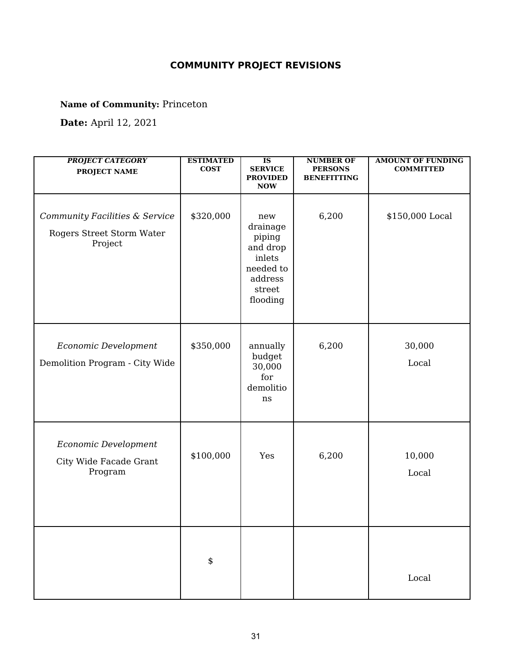# **COMMUNITY PROJECT REVISIONS**

**Name of Community:** Princeton

**Date:** April 12, 2021

| <b>PROJECT CATEGORY</b><br><b>PROJECT NAME</b>                         | <b>ESTIMATED</b><br><b>COST</b> | $\overline{\text{IS}}$<br><b>SERVICE</b><br><b>PROVIDED</b><br><b>NOW</b>                     | <b>NUMBER OF</b><br><b>PERSONS</b><br><b>BENEFITTING</b> | <b>AMOUNT OF FUNDING</b><br><b>COMMITTED</b> |
|------------------------------------------------------------------------|---------------------------------|-----------------------------------------------------------------------------------------------|----------------------------------------------------------|----------------------------------------------|
| Community Facilities & Service<br>Rogers Street Storm Water<br>Project | \$320,000                       | new<br>drainage<br>piping<br>and drop<br>inlets<br>needed to<br>address<br>street<br>flooding | 6,200                                                    | \$150,000 Local                              |
| Economic Development<br>Demolition Program - City Wide                 | \$350,000                       | annually<br>budget<br>30,000<br>for<br>demolitio<br>ns                                        | 6,200                                                    | 30,000<br>Local                              |
| Economic Development<br>City Wide Facade Grant<br>Program              | \$100,000                       | Yes                                                                                           | 6,200                                                    | 10,000<br>Local                              |
|                                                                        | \$                              |                                                                                               |                                                          | $_{\rm Local}$                               |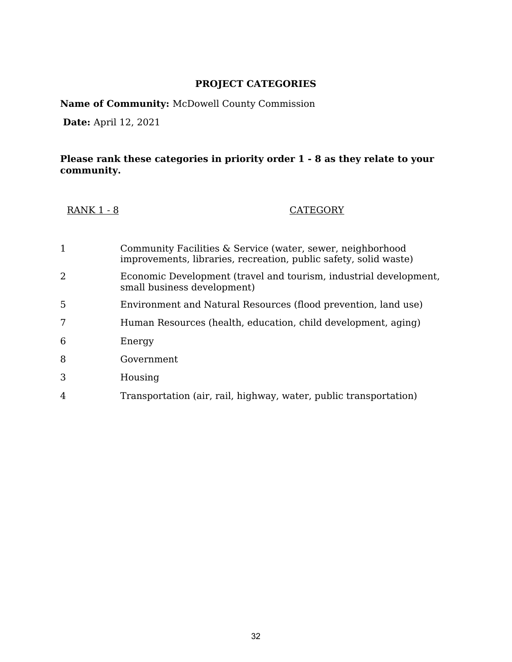## **PROJECT CATEGORIES**

**Name of Community:** McDowell County Commission

**Date:** April 12, 2021

## **Please rank these categories in priority order 1 - 8 as they relate to your community.**

| <b>RANK 1 - 8</b> | <b>CATEGORY</b> |
|-------------------|-----------------|
|-------------------|-----------------|

| 1 | Community Facilities & Service (water, sewer, neighborhood<br>improvements, libraries, recreation, public safety, solid waste) |
|---|--------------------------------------------------------------------------------------------------------------------------------|
| 2 | Economic Development (travel and tourism, industrial development,<br>small business development)                               |
| 5 | Environment and Natural Resources (flood prevention, land use)                                                                 |
| 7 | Human Resources (health, education, child development, aging)                                                                  |
| 6 | Energy                                                                                                                         |
| 8 | Government                                                                                                                     |
| 3 | Housing                                                                                                                        |
| 4 | Transportation (air, rail, highway, water, public transportation)                                                              |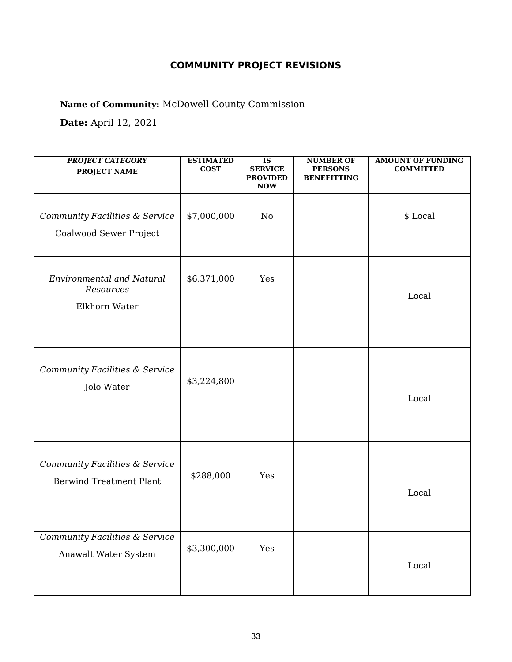# **COMMUNITY PROJECT REVISIONS**

**Name of Community:** McDowell County Commission

**Date:** April 12, 2021

| <b>PROJECT CATEGORY</b><br><b>PROJECT NAME</b>                    | <b>ESTIMATED</b><br><b>COST</b> | $\overline{\textbf{IS}}$<br><b>SERVICE</b><br><b>PROVIDED</b><br><b>NOW</b> | <b>NUMBER OF</b><br><b>PERSONS</b><br><b>BENEFITTING</b> | <b>AMOUNT OF FUNDING</b><br><b>COMMITTED</b> |
|-------------------------------------------------------------------|---------------------------------|-----------------------------------------------------------------------------|----------------------------------------------------------|----------------------------------------------|
| Community Facilities & Service<br>Coalwood Sewer Project          | \$7,000,000                     | No                                                                          |                                                          | \$ Local                                     |
| <b>Environmental and Natural</b><br>Resources<br>Elkhorn Water    | \$6,371,000                     | Yes                                                                         |                                                          | Local                                        |
| Community Facilities & Service<br>Jolo Water                      | \$3,224,800                     |                                                                             |                                                          | Local                                        |
| Community Facilities & Service<br><b>Berwind Treatment Plant</b>  | \$288,000                       | Yes                                                                         |                                                          | Local                                        |
| <b>Community Facilities &amp; Service</b><br>Anawalt Water System | \$3,300,000                     | Yes                                                                         |                                                          | Local                                        |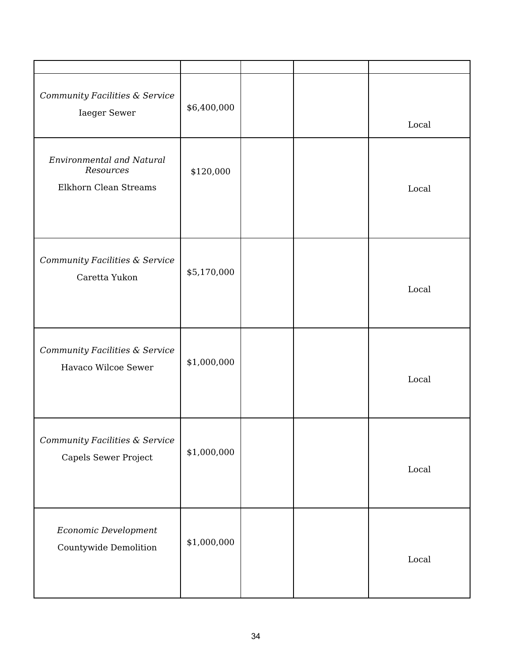| Community Facilities & Service<br><b>Iaeger Sewer</b>                  | \$6,400,000 |  | Local                  |
|------------------------------------------------------------------------|-------------|--|------------------------|
| <b>Environmental and Natural</b><br>Resources<br>Elkhorn Clean Streams | \$120,000   |  | Local                  |
| Community Facilities & Service<br>Caretta Yukon                        | \$5,170,000 |  | Local                  |
| Community Facilities & Service<br>Havaco Wilcoe Sewer                  | \$1,000,000 |  | Local                  |
| Community Facilities & Service<br>Capels Sewer Project                 | \$1,000,000 |  | $\operatorname{Local}$ |
| Economic Development<br>Countywide Demolition                          | \$1,000,000 |  | Local                  |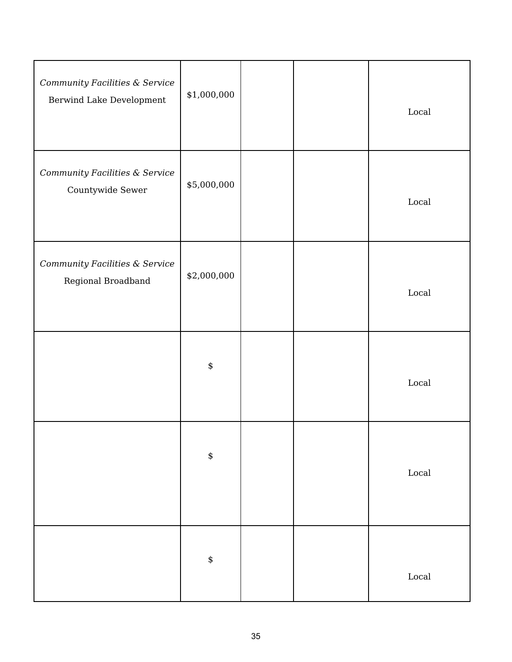| Community Facilities & Service<br>Berwind Lake Development | \$1,000,000 |  | $_{\mbox{\small Local}}$ |
|------------------------------------------------------------|-------------|--|--------------------------|
| Community Facilities & Service<br>Countywide Sewer         | \$5,000,000 |  | $_{\mbox{\small Local}}$ |
| Community Facilities & Service<br>Regional Broadband       | \$2,000,000 |  | $_{\rm Local}$           |
|                                                            | $\pmb{\$}$  |  | $_{\mbox{\small Local}}$ |
|                                                            | $\pmb{\$}$  |  | $_{\mbox{\small Local}}$ |
|                                                            | \$          |  | $_{\mbox{\small Local}}$ |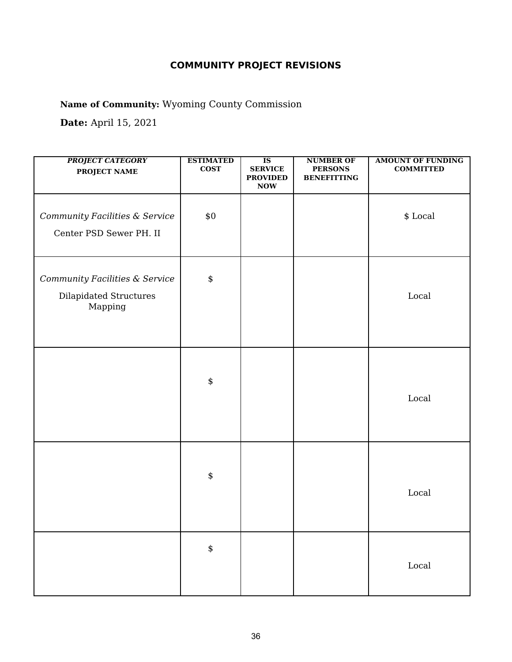**Name of Community:** Wyoming County Commission

| <b>PROJECT CATEGORY</b><br>PROJECT NAME                             | <b>ESTIMATED</b><br>$\cos$ | $\overline{\text{IS}}$<br><b>SERVICE</b><br><b>PROVIDED</b><br><b>NOW</b> | <b>NUMBER OF</b><br><b>PERSONS</b><br><b>BENEFITTING</b> | <b>AMOUNT OF FUNDING</b><br><b>COMMITTED</b> |
|---------------------------------------------------------------------|----------------------------|---------------------------------------------------------------------------|----------------------------------------------------------|----------------------------------------------|
| Community Facilities & Service<br>Center PSD Sewer PH. II           | \$0                        |                                                                           |                                                          | $\$$ Local                                   |
| Community Facilities & Service<br>Dilapidated Structures<br>Mapping | \$                         |                                                                           |                                                          | Local                                        |
|                                                                     | \$                         |                                                                           |                                                          | Local                                        |
|                                                                     | \$                         |                                                                           |                                                          | Local                                        |
|                                                                     | \$                         |                                                                           |                                                          | $_{\rm Local}$                               |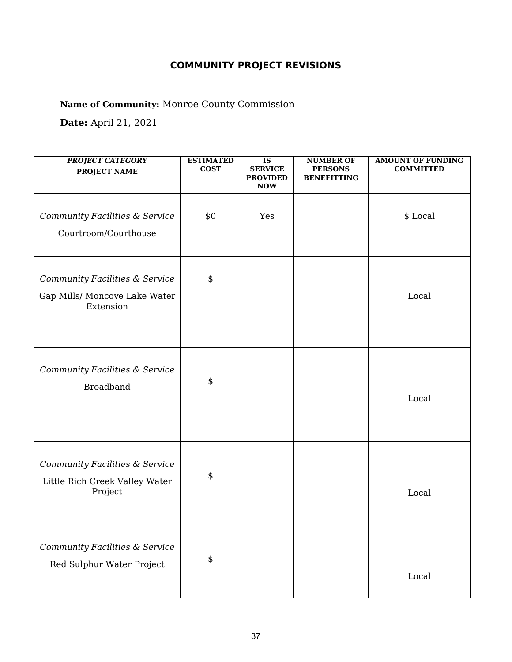**Name of Community:** Monroe County Commission

| <b>PROJECT CATEGORY</b><br><b>PROJECT NAME</b>                               | <b>ESTIMATED</b><br><b>COST</b> | $\overline{\text{IS}}$<br><b>SERVICE</b><br><b>PROVIDED</b><br><b>NOW</b> | <b>NUMBER OF</b><br><b>PERSONS</b><br><b>BENEFITTING</b> | <b>AMOUNT OF FUNDING</b><br><b>COMMITTED</b> |
|------------------------------------------------------------------------------|---------------------------------|---------------------------------------------------------------------------|----------------------------------------------------------|----------------------------------------------|
| Community Facilities & Service<br>Courtroom/Courthouse                       | \$0                             | Yes                                                                       |                                                          | \$ Local                                     |
| Community Facilities & Service<br>Gap Mills/ Moncove Lake Water<br>Extension | \$                              |                                                                           |                                                          | Local                                        |
| Community Facilities & Service<br><b>Broadband</b>                           | \$                              |                                                                           |                                                          | Local                                        |
| Community Facilities & Service<br>Little Rich Creek Valley Water<br>Project  | \$                              |                                                                           |                                                          | Local                                        |
| <b>Community Facilities &amp; Service</b><br>Red Sulphur Water Project       | \$                              |                                                                           |                                                          | Local                                        |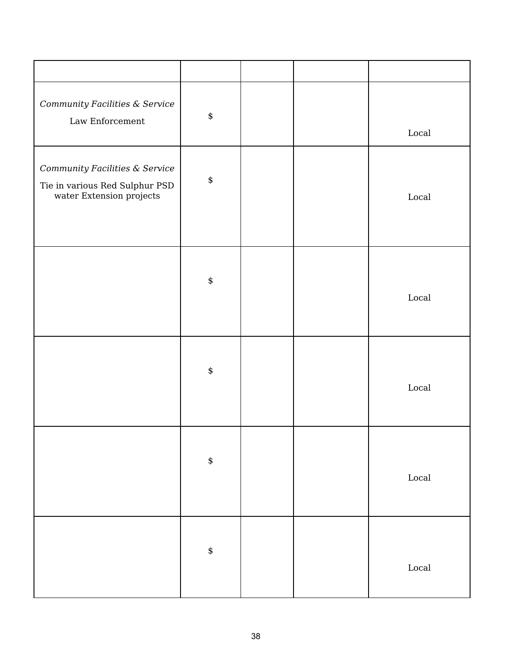| Community Facilities & Service<br>Law Enforcement                                            | $\pmb{\$}$ |  | Local          |
|----------------------------------------------------------------------------------------------|------------|--|----------------|
| Community Facilities & Service<br>Tie in various Red Sulphur PSD<br>water Extension projects | $\pmb{\$}$ |  | Local          |
|                                                                                              | $\pmb{\$}$ |  | $_{\rm Local}$ |
|                                                                                              | $\pmb{\$}$ |  | $_{\rm Local}$ |
|                                                                                              | $\pmb{\$}$ |  | $_{\rm Local}$ |
|                                                                                              | \$         |  | $_{\rm Local}$ |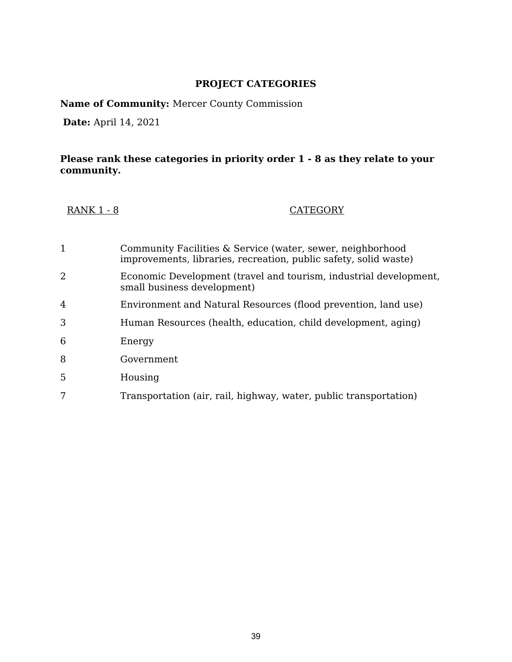**Name of Community:** Mercer County Commission

**Date:** April 14, 2021

| <b>RANK 1 - 8</b> | <b>CATEGORY</b> |
|-------------------|-----------------|
|-------------------|-----------------|

| 1 | Community Facilities & Service (water, sewer, neighborhood<br>improvements, libraries, recreation, public safety, solid waste) |
|---|--------------------------------------------------------------------------------------------------------------------------------|
| 2 | Economic Development (travel and tourism, industrial development,<br>small business development)                               |
| 4 | Environment and Natural Resources (flood prevention, land use)                                                                 |
| 3 | Human Resources (health, education, child development, aging)                                                                  |
| 6 | Energy                                                                                                                         |
| 8 | Government                                                                                                                     |
| 5 | Housing                                                                                                                        |
|   | Transportation (air, rail, highway, water, public transportation)                                                              |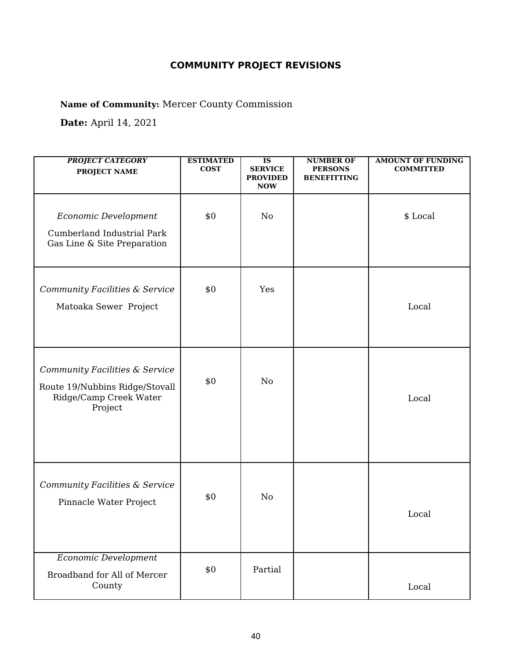**Name of Community:** Mercer County Commission

| <b>PROJECT CATEGORY</b><br><b>PROJECT NAME</b>                                                        | <b>ESTIMATED</b><br><b>COST</b> | $\overline{\text{IS}}$<br><b>SERVICE</b><br><b>PROVIDED</b><br><b>NOW</b> | <b>NUMBER OF</b><br><b>PERSONS</b><br><b>BENEFITTING</b> | <b>AMOUNT OF FUNDING</b><br><b>COMMITTED</b> |
|-------------------------------------------------------------------------------------------------------|---------------------------------|---------------------------------------------------------------------------|----------------------------------------------------------|----------------------------------------------|
| Economic Development<br>Cumberland Industrial Park<br>Gas Line & Site Preparation                     | \$0                             | No                                                                        |                                                          | \$ Local                                     |
| Community Facilities & Service<br>Matoaka Sewer Project                                               | \$0                             | Yes                                                                       |                                                          | Local                                        |
| Community Facilities & Service<br>Route 19/Nubbins Ridge/Stovall<br>Ridge/Camp Creek Water<br>Project | \$0                             | No                                                                        |                                                          | Local                                        |
| Community Facilities & Service<br>Pinnacle Water Project                                              | \$0                             | No                                                                        |                                                          | Local                                        |
| <b>Economic Development</b><br>Broadband for All of Mercer<br>County                                  | \$0                             | Partial                                                                   |                                                          | Local                                        |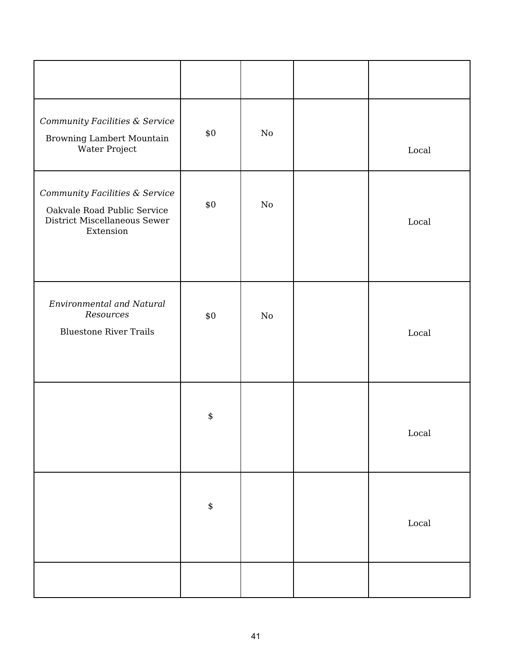| Community Facilities & Service<br>Browning Lambert Mountain<br>Water Project                               | \$0        | $\rm No$ | Local          |
|------------------------------------------------------------------------------------------------------------|------------|----------|----------------|
| Community Facilities & Service<br>Oakvale Road Public Service<br>District Miscellaneous Sewer<br>Extension | \$0        | $\rm No$ | Local          |
| <b>Environmental and Natural</b><br>Resources<br><b>Bluestone River Trails</b>                             | \$0        | $\rm No$ | Local          |
|                                                                                                            | \$         |          | Local          |
|                                                                                                            | $\pmb{\$}$ |          | $_{\rm Local}$ |
|                                                                                                            |            |          |                |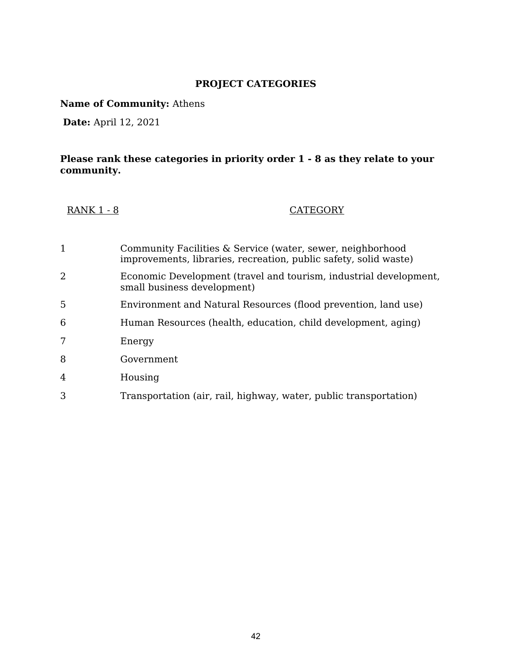**Name of Community:** Athens

**Date:** April 12, 2021

| <b>RANK 1 - 8</b> | <b>CATEGORY</b> |
|-------------------|-----------------|
|-------------------|-----------------|

| 1 | Community Facilities & Service (water, sewer, neighborhood<br>improvements, libraries, recreation, public safety, solid waste) |
|---|--------------------------------------------------------------------------------------------------------------------------------|
| 2 | Economic Development (travel and tourism, industrial development,<br>small business development)                               |
| 5 | Environment and Natural Resources (flood prevention, land use)                                                                 |
| 6 | Human Resources (health, education, child development, aging)                                                                  |
| 7 | Energy                                                                                                                         |
| 8 | Government                                                                                                                     |
| 4 | Housing                                                                                                                        |
| 3 | Transportation (air, rail, highway, water, public transportation)                                                              |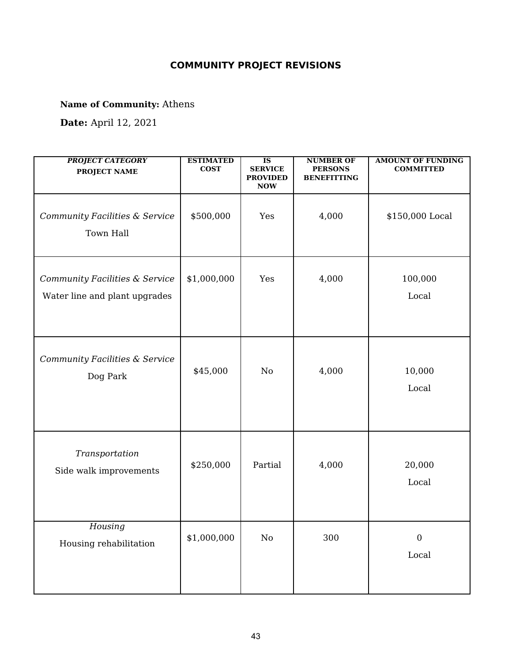**Name of Community:** Athens

| <b>PROJECT CATEGORY</b><br><b>PROJECT NAME</b>                  | <b>ESTIMATED</b><br><b>COST</b> | $\overline{\text{IS}}$<br><b>SERVICE</b><br><b>PROVIDED</b><br><b>NOW</b> | <b>NUMBER OF</b><br><b>PERSONS</b><br><b>BENEFITTING</b> | <b>AMOUNT OF FUNDING</b><br><b>COMMITTED</b> |
|-----------------------------------------------------------------|---------------------------------|---------------------------------------------------------------------------|----------------------------------------------------------|----------------------------------------------|
| Community Facilities & Service<br>Town Hall                     | \$500,000                       | Yes                                                                       | 4,000                                                    | \$150,000 Local                              |
| Community Facilities & Service<br>Water line and plant upgrades | \$1,000,000                     | Yes                                                                       | 4,000                                                    | 100,000<br>Local                             |
| Community Facilities & Service<br>Dog Park                      | \$45,000                        | No                                                                        | 4,000                                                    | 10,000<br>Local                              |
| Transportation<br>Side walk improvements                        | \$250,000                       | Partial                                                                   | 4,000                                                    | 20,000<br>Local                              |
| Housing<br>Housing rehabilitation                               | \$1,000,000                     | $\rm No$                                                                  | 300                                                      | $\boldsymbol{0}$<br>$_{\rm Local}$           |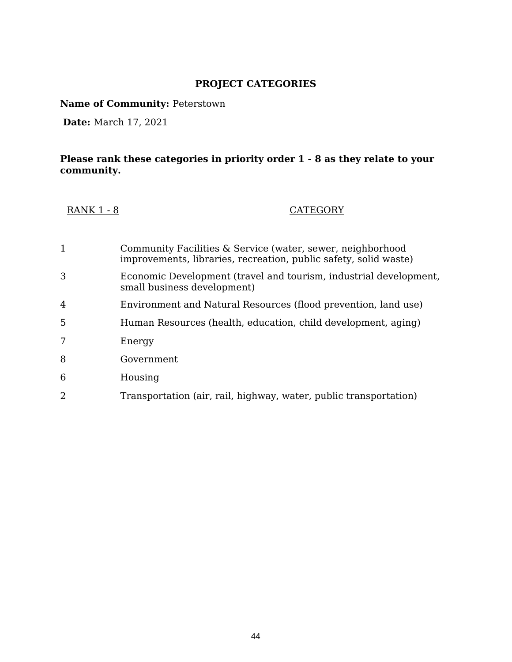**Name of Community:** Peterstown

**Date:** March 17, 2021

| <b>RANK 1 - 8</b> | <b>CATEGORY</b> |
|-------------------|-----------------|
|-------------------|-----------------|

| 1 | Community Facilities & Service (water, sewer, neighborhood<br>improvements, libraries, recreation, public safety, solid waste) |
|---|--------------------------------------------------------------------------------------------------------------------------------|
| 3 | Economic Development (travel and tourism, industrial development,<br>small business development)                               |
| 4 | Environment and Natural Resources (flood prevention, land use)                                                                 |
| 5 | Human Resources (health, education, child development, aging)                                                                  |
|   | Energy                                                                                                                         |
| 8 | Government                                                                                                                     |
| 6 | Housing                                                                                                                        |
| 2 | Transportation (air, rail, highway, water, public transportation)                                                              |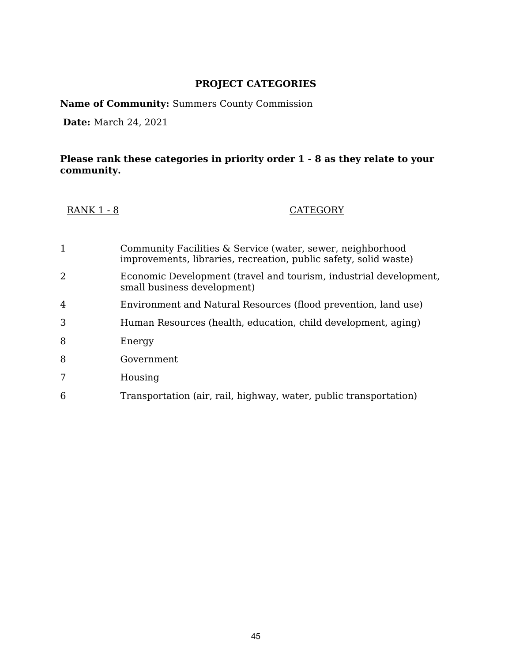**Name of Community:** Summers County Commission

**Date:** March 24, 2021

| <b>RANK 1 - 8</b> | <b>CATEGORY</b> |
|-------------------|-----------------|
|-------------------|-----------------|

| 1 | Community Facilities & Service (water, sewer, neighborhood<br>improvements, libraries, recreation, public safety, solid waste) |
|---|--------------------------------------------------------------------------------------------------------------------------------|
| 2 | Economic Development (travel and tourism, industrial development,<br>small business development)                               |
| 4 | Environment and Natural Resources (flood prevention, land use)                                                                 |
| 3 | Human Resources (health, education, child development, aging)                                                                  |
| 8 | Energy                                                                                                                         |
| 8 | Government                                                                                                                     |
| 7 | Housing                                                                                                                        |
| 6 | Transportation (air, rail, highway, water, public transportation)                                                              |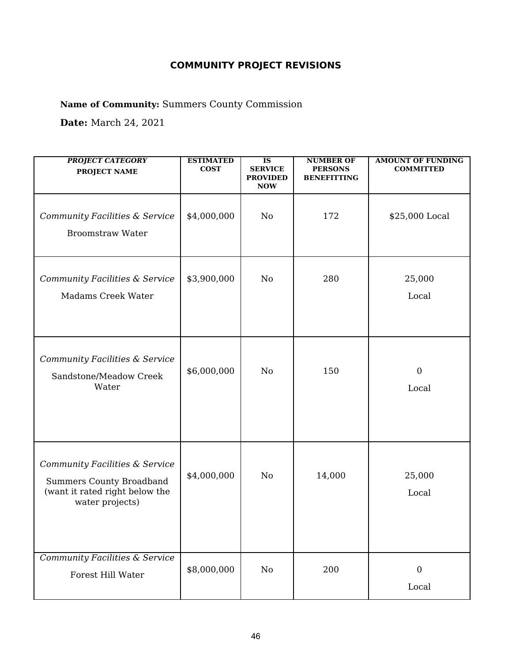**Name of Community:** Summers County Commission

**Date:** March 24, 2021

| <b>PROJECT CATEGORY</b><br><b>PROJECT NAME</b>                                                                         | <b>ESTIMATED</b><br><b>COST</b> | $\overline{\text{IS}}$<br><b>SERVICE</b><br><b>PROVIDED</b><br><b>NOW</b> | <b>NUMBER OF</b><br><b>PERSONS</b><br><b>BENEFITTING</b> | <b>AMOUNT OF FUNDING</b><br><b>COMMITTED</b> |
|------------------------------------------------------------------------------------------------------------------------|---------------------------------|---------------------------------------------------------------------------|----------------------------------------------------------|----------------------------------------------|
| Community Facilities & Service<br><b>Broomstraw Water</b>                                                              | \$4,000,000                     | No                                                                        | 172                                                      | \$25,000 Local                               |
| Community Facilities & Service<br>Madams Creek Water                                                                   | \$3,900,000                     | No                                                                        | 280                                                      | 25,000<br>Local                              |
| Community Facilities & Service<br>Sandstone/Meadow Creek<br>Water                                                      | \$6,000,000                     | No                                                                        | 150                                                      | $\boldsymbol{0}$<br>Local                    |
| Community Facilities & Service<br><b>Summers County Broadband</b><br>(want it rated right below the<br>water projects) | \$4,000,000                     | No                                                                        | 14,000                                                   | 25,000<br>Local                              |
| <b>Community Facilities &amp; Service</b><br>Forest Hill Water                                                         | \$8,000,000                     | No                                                                        | 200                                                      | $\boldsymbol{0}$<br>Local                    |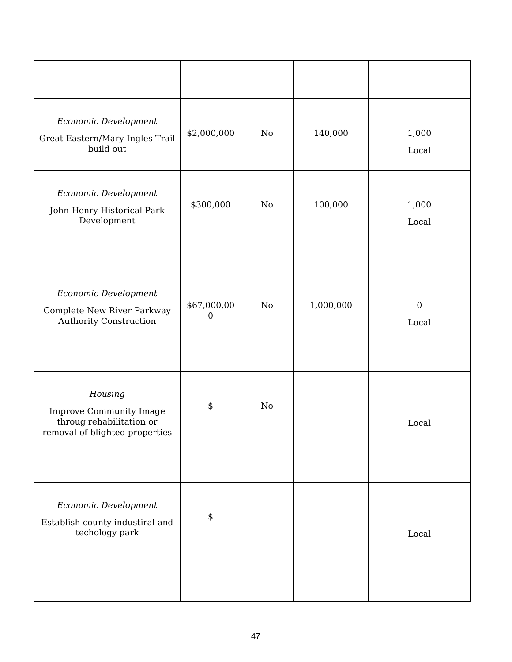| Economic Development<br>Great Eastern/Mary Ingles Trail<br>build out                                    | \$2,000,000      | $\rm No$ | 140,000   | 1,000<br>Local            |
|---------------------------------------------------------------------------------------------------------|------------------|----------|-----------|---------------------------|
| Economic Development<br>John Henry Historical Park<br>Development                                       | \$300,000        | $\rm No$ | 100,000   | 1,000<br>Local            |
| Economic Development<br>Complete New River Parkway<br><b>Authority Construction</b>                     | \$67,000,00<br>0 | $\rm No$ | 1,000,000 | $\boldsymbol{0}$<br>Local |
| Housing<br><b>Improve Community Image</b><br>throug rehabilitation or<br>removal of blighted properties | \$               | No       |           | Local                     |
| Economic Development<br>Establish county industiral and<br>techology park                               | \$               |          |           | Local                     |
|                                                                                                         |                  |          |           |                           |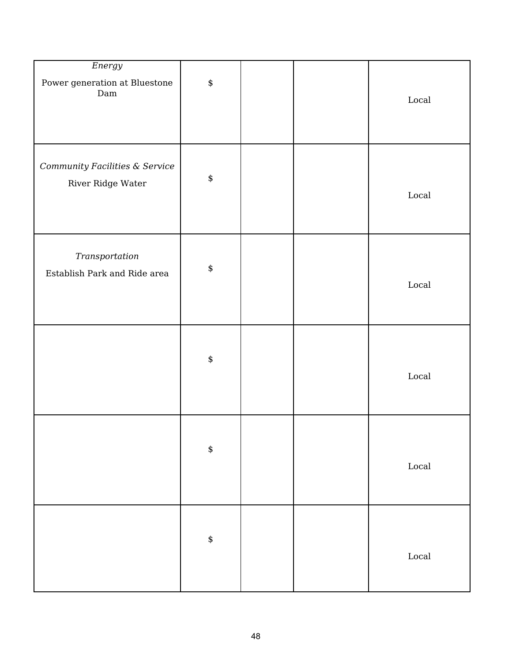| Energy<br>Power generation at Bluestone<br>$\mathop{\mathrm{Dam}}$ | \$ | $_{\rm Local}$ |
|--------------------------------------------------------------------|----|----------------|
| Community Facilities & Service<br>River Ridge Water                | \$ | $_{\rm Local}$ |
| Transportation<br>Establish Park and Ride area                     | \$ | $_{\rm Local}$ |
|                                                                    | \$ | $_{\rm Local}$ |
|                                                                    | \$ | $_{\rm Local}$ |
|                                                                    | \$ | $_{\rm Local}$ |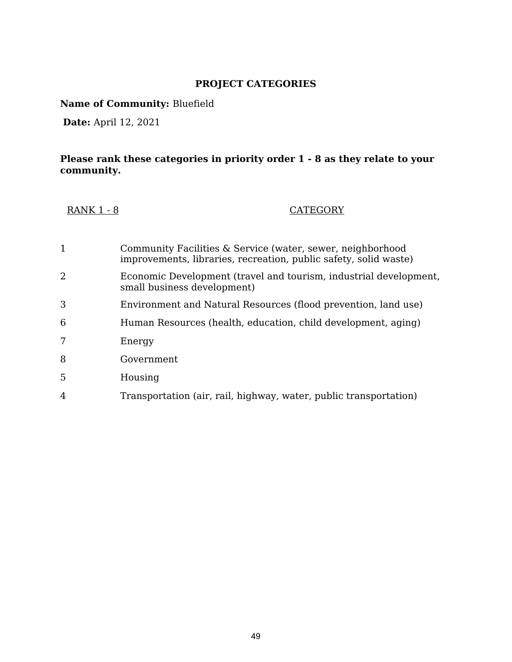**Name of Community:** Bluefield

**Date:** April 12, 2021

| <b>RANK 1 - 8</b> | <b>CATEGORY</b> |
|-------------------|-----------------|
|-------------------|-----------------|

| 1              | Community Facilities & Service (water, sewer, neighborhood<br>improvements, libraries, recreation, public safety, solid waste) |
|----------------|--------------------------------------------------------------------------------------------------------------------------------|
| 2              | Economic Development (travel and tourism, industrial development,<br>small business development)                               |
| 3              | Environment and Natural Resources (flood prevention, land use)                                                                 |
| 6              | Human Resources (health, education, child development, aging)                                                                  |
|                | Energy                                                                                                                         |
| 8              | Government                                                                                                                     |
| 5              | Housing                                                                                                                        |
| $\overline{4}$ | Transportation (air, rail, highway, water, public transportation)                                                              |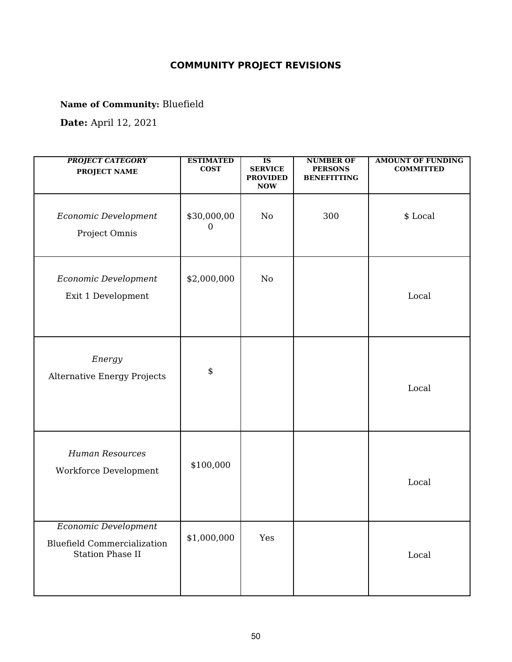**Name of Community:** Bluefield

| <b>PROJECT CATEGORY</b><br><b>PROJECT NAME</b>                                        | <b>ESTIMATED</b><br><b>COST</b> | $\overline{\text{IS}}$<br><b>SERVICE</b><br><b>PROVIDED</b><br><b>NOW</b> | <b>NUMBER OF</b><br><b>PERSONS</b><br><b>BENEFITTING</b> | <b>AMOUNT OF FUNDING</b><br><b>COMMITTED</b> |
|---------------------------------------------------------------------------------------|---------------------------------|---------------------------------------------------------------------------|----------------------------------------------------------|----------------------------------------------|
| Economic Development<br>Project Omnis                                                 | \$30,000,00<br>$\theta$         | No                                                                        | 300                                                      | \$ Local                                     |
| Economic Development<br>Exit 1 Development                                            | \$2,000,000                     | No                                                                        |                                                          | Local                                        |
| Energy<br>Alternative Energy Projects                                                 | \$                              |                                                                           |                                                          | Local                                        |
| <b>Human Resources</b><br>Workforce Development                                       | \$100,000                       |                                                                           |                                                          | Local                                        |
| Economic Development<br><b>Bluefield Commercialization</b><br><b>Station Phase II</b> | \$1,000,000                     | Yes                                                                       |                                                          | Local                                        |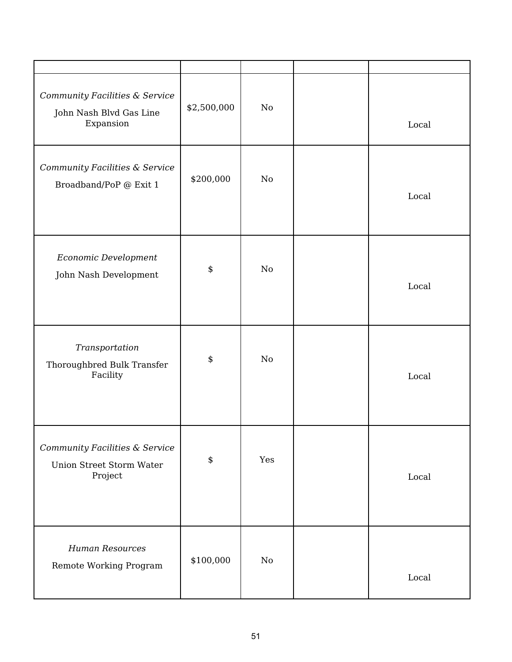| Community Facilities & Service<br>John Nash Blvd Gas Line<br>Expansion       | \$2,500,000 | No  | Local |
|------------------------------------------------------------------------------|-------------|-----|-------|
| Community Facilities & Service<br>Broadband/PoP @ Exit 1                     | \$200,000   | No  | Local |
| Economic Development<br>John Nash Development                                | \$          | No  | Local |
| Transportation<br>Thoroughbred Bulk Transfer<br>Facility                     | \$          | No  | Local |
| Community Facilities & Service<br><b>Union Street Storm Water</b><br>Project | \$          | Yes | Local |
| <b>Human Resources</b><br>Remote Working Program                             | \$100,000   | No  | Local |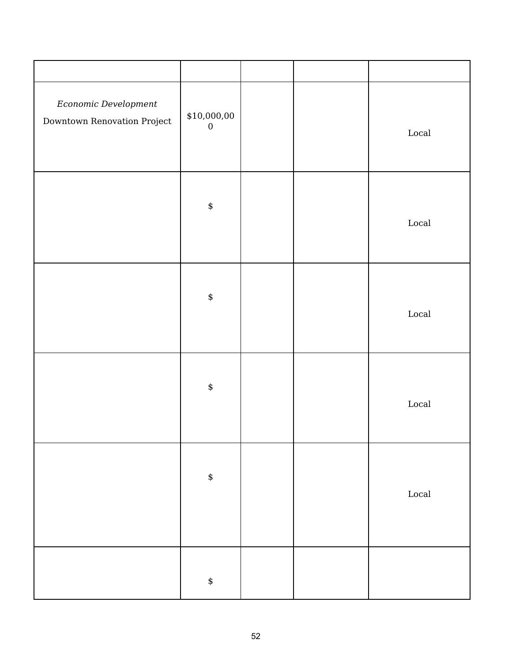| Economic Development<br>Downtown Renovation Project | \$10,000,00<br>$\boldsymbol{0}$ |  | $_{\rm Local}$           |
|-----------------------------------------------------|---------------------------------|--|--------------------------|
|                                                     | \$                              |  | $_{\rm Local}$           |
|                                                     | \$                              |  | $_{\mbox{\small Local}}$ |
|                                                     | \$                              |  | $_{\mbox{\small Local}}$ |
|                                                     | $\boldsymbol{\$}$               |  | $_{\mbox{\small Local}}$ |
|                                                     | \$                              |  |                          |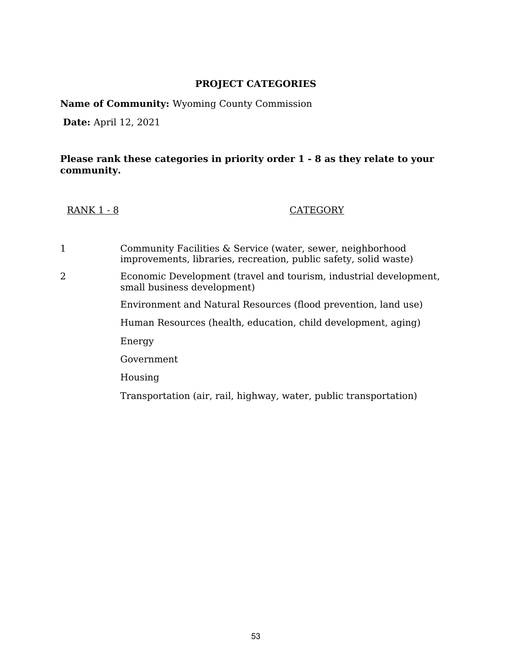**Name of Community:** Wyoming County Commission

**Date:** April 12, 2021

#### **Please rank these categories in priority order 1 - 8 as they relate to your community.**

RANK 1 - 8 CATEGORY

1 Community Facilities & Service (water, sewer, neighborhood improvements, libraries, recreation, public safety, solid waste) 2 Economic Development (travel and tourism, industrial development, small business development) Environment and Natural Resources (flood prevention, land use) Human Resources (health, education, child development, aging) Energy Government Housing Transportation (air, rail, highway, water, public transportation)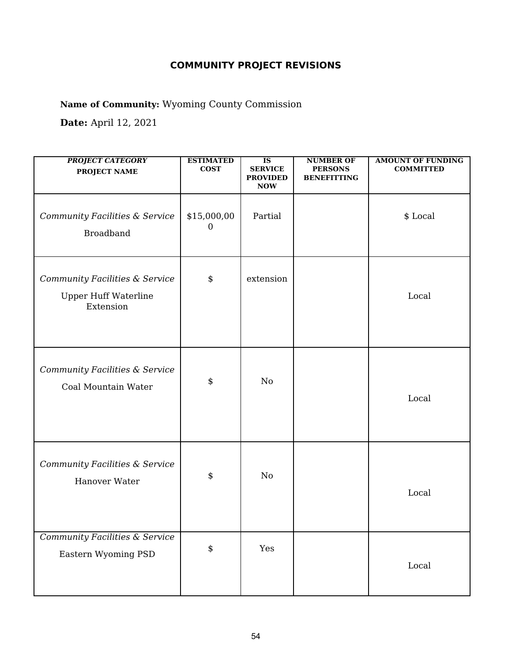**Name of Community:** Wyoming County Commission

| <b>PROJECT CATEGORY</b><br><b>PROJECT NAME</b>                             | <b>ESTIMATED</b><br><b>COST</b> | $\overline{\textbf{IS}}$<br><b>SERVICE</b><br><b>PROVIDED</b><br><b>NOW</b> | <b>NUMBER OF</b><br><b>PERSONS</b><br><b>BENEFITTING</b> | <b>AMOUNT OF FUNDING</b><br><b>COMMITTED</b> |
|----------------------------------------------------------------------------|---------------------------------|-----------------------------------------------------------------------------|----------------------------------------------------------|----------------------------------------------|
| Community Facilities & Service<br><b>Broadband</b>                         | \$15,000,00<br>$\theta$         | Partial                                                                     |                                                          | \$ Local                                     |
| Community Facilities & Service<br><b>Upper Huff Waterline</b><br>Extension | \$                              | extension                                                                   |                                                          | Local                                        |
| Community Facilities & Service<br>Coal Mountain Water                      | \$                              | No                                                                          |                                                          | Local                                        |
| Community Facilities & Service<br>Hanover Water                            | \$                              | No                                                                          |                                                          | Local                                        |
| <b>Community Facilities &amp; Service</b><br>Eastern Wyoming PSD           | \$                              | Yes                                                                         |                                                          | $_{\rm Local}$                               |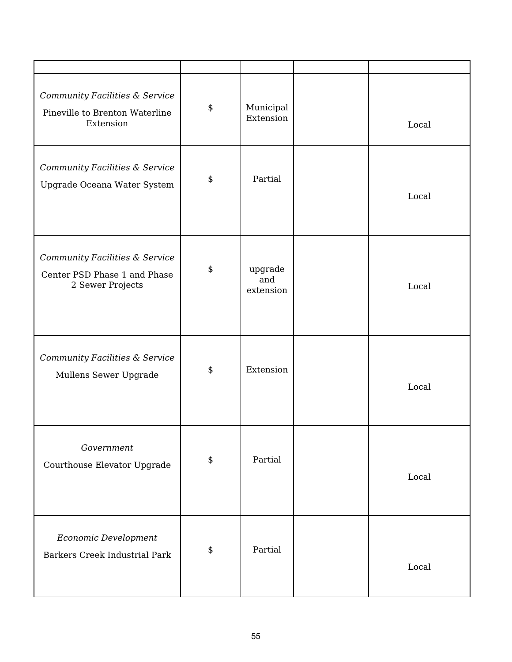| Community Facilities & Service<br>Pineville to Brenton Waterline<br>Extension      | \$<br>Municipal<br>Extension      | Local |
|------------------------------------------------------------------------------------|-----------------------------------|-------|
| Community Facilities & Service<br>Upgrade Oceana Water System                      | \$<br>Partial                     | Local |
| Community Facilities & Service<br>Center PSD Phase 1 and Phase<br>2 Sewer Projects | \$<br>upgrade<br>and<br>extension | Local |
| Community Facilities & Service<br>Mullens Sewer Upgrade                            | \$<br>Extension                   | Local |
| Government<br>Courthouse Elevator Upgrade                                          | \$<br>Partial                     | Local |
| Economic Development<br><b>Barkers Creek Industrial Park</b>                       | \$<br>Partial                     | Local |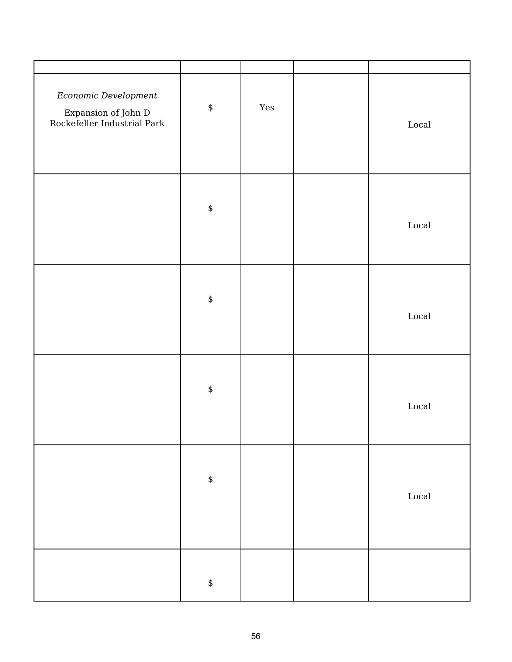| Economic Development<br>Expansion of John D<br>Rockefeller Industrial Park | $\pmb{\$}$        | $\operatorname{Yes}$ | $_{\rm Local}$ |
|----------------------------------------------------------------------------|-------------------|----------------------|----------------|
|                                                                            | $\boldsymbol{\$}$ |                      | $_{\rm Local}$ |
|                                                                            | $\pmb{\$}$        |                      | $_{\rm Local}$ |
|                                                                            | $\pmb{\$}$        |                      | $_{\rm Local}$ |
|                                                                            | $\pmb{\$}$        |                      | $_{\rm Local}$ |
|                                                                            | \$                |                      |                |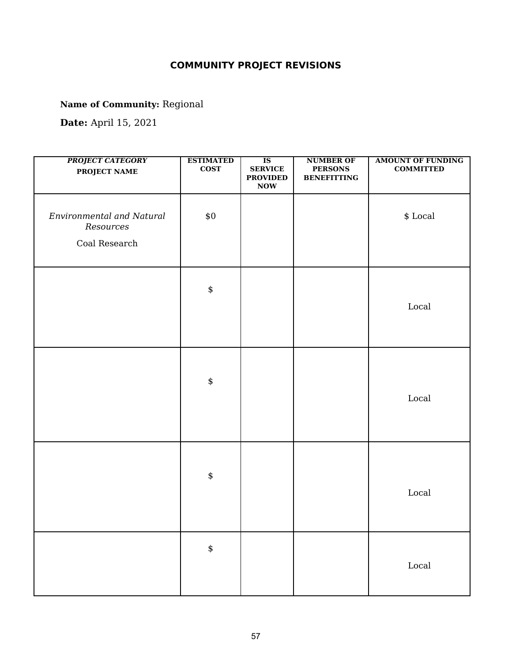**Name of Community:** Regional

| <b>PROJECT CATEGORY</b><br><b>PROJECT NAME</b>                 | <b>ESTIMATED</b><br>$\cos$ | $\overline{\text{IS}}$<br><b>SERVICE</b><br><b>PROVIDED</b><br>$\bf{Now}$ | <b>NUMBER OF</b><br><b>PERSONS</b><br><b>BENEFITTING</b> | <b>AMOUNT OF FUNDING</b><br><b>COMMITTED</b> |
|----------------------------------------------------------------|----------------------------|---------------------------------------------------------------------------|----------------------------------------------------------|----------------------------------------------|
| <b>Environmental and Natural</b><br>Resources<br>Coal Research | $\$0$                      |                                                                           |                                                          | $\$$ Local                                   |
|                                                                | \$                         |                                                                           |                                                          | $_{\rm Local}$                               |
|                                                                | $\pmb{\$}$                 |                                                                           |                                                          | Local                                        |
|                                                                | $\pmb{\$}$                 |                                                                           |                                                          | Local                                        |
|                                                                | \$                         |                                                                           |                                                          | $_{\mbox{\small Local}}$                     |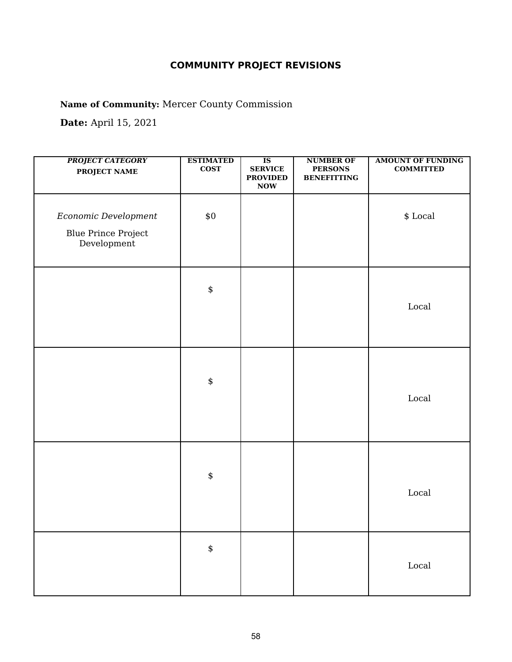**Name of Community:** Mercer County Commission

| <b>PROJECT CATEGORY</b><br>PROJECT NAME                           | <b>ESTIMATED</b><br>$\cos$ | $\overline{\text{IS}}$<br><b>SERVICE</b><br><b>PROVIDED</b><br>$\bf{Now}$ | <b>NUMBER OF</b><br><b>PERSONS</b><br><b>BENEFITTING</b> | <b>AMOUNT OF FUNDING</b><br><b>COMMITTED</b> |
|-------------------------------------------------------------------|----------------------------|---------------------------------------------------------------------------|----------------------------------------------------------|----------------------------------------------|
| Economic Development<br><b>Blue Prince Project</b><br>Development | $\$0$                      |                                                                           |                                                          | $\$$ Local                                   |
|                                                                   | $\spadesuit$               |                                                                           |                                                          | $_{\rm Local}$                               |
|                                                                   | $\pmb{\$}$                 |                                                                           |                                                          | Local                                        |
|                                                                   | $\pmb{\$}$                 |                                                                           |                                                          | $_{\rm Local}$                               |
|                                                                   | $\pmb{\$}$                 |                                                                           |                                                          | $_{\rm Local}$                               |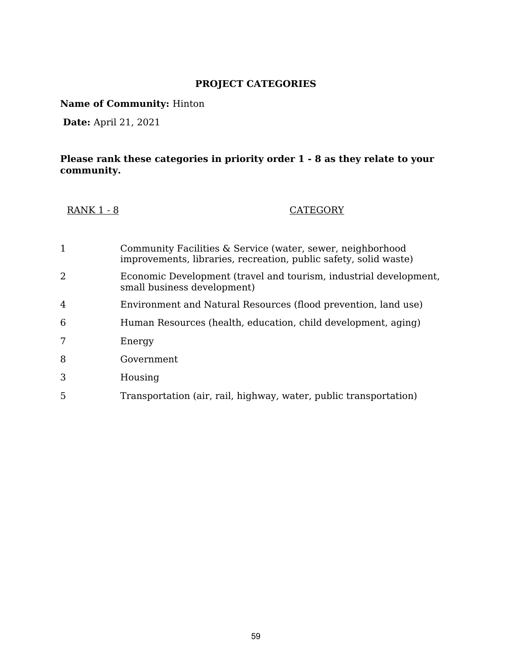**Name of Community:** Hinton

**Date:** April 21, 2021

| <b>RANK 1 - 8</b> | <b>CATEGORY</b> |
|-------------------|-----------------|
|-------------------|-----------------|

| 1 | Community Facilities & Service (water, sewer, neighborhood<br>improvements, libraries, recreation, public safety, solid waste) |
|---|--------------------------------------------------------------------------------------------------------------------------------|
| 2 | Economic Development (travel and tourism, industrial development,<br>small business development)                               |
| 4 | Environment and Natural Resources (flood prevention, land use)                                                                 |
| 6 | Human Resources (health, education, child development, aging)                                                                  |
| 7 | Energy                                                                                                                         |
| 8 | Government                                                                                                                     |
| 3 | Housing                                                                                                                        |
| 5 | Transportation (air, rail, highway, water, public transportation)                                                              |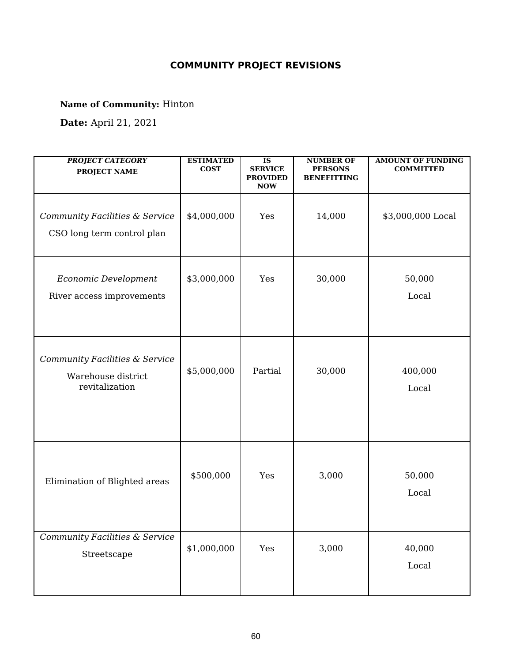**Name of Community:** Hinton

| <b>PROJECT CATEGORY</b><br><b>PROJECT NAME</b>                         | <b>ESTIMATED</b><br><b>COST</b> | $\overline{\text{IS}}$<br><b>SERVICE</b><br><b>PROVIDED</b><br><b>NOW</b> | <b>NUMBER OF</b><br><b>PERSONS</b><br><b>BENEFITTING</b> | <b>AMOUNT OF FUNDING</b><br><b>COMMITTED</b> |
|------------------------------------------------------------------------|---------------------------------|---------------------------------------------------------------------------|----------------------------------------------------------|----------------------------------------------|
| Community Facilities & Service<br>CSO long term control plan           | \$4,000,000                     | Yes                                                                       | 14,000                                                   | \$3,000,000 Local                            |
| Economic Development<br>River access improvements                      | \$3,000,000                     | Yes                                                                       | 30,000                                                   | 50,000<br>Local                              |
| Community Facilities & Service<br>Warehouse district<br>revitalization | \$5,000,000                     | Partial                                                                   | 30,000                                                   | 400,000<br>Local                             |
| Elimination of Blighted areas                                          | \$500,000                       | Yes                                                                       | 3,000                                                    | 50,000<br>Local                              |
| <b>Community Facilities &amp; Service</b><br>Streetscape               | \$1,000,000                     | Yes                                                                       | 3,000                                                    | 40,000<br>Local                              |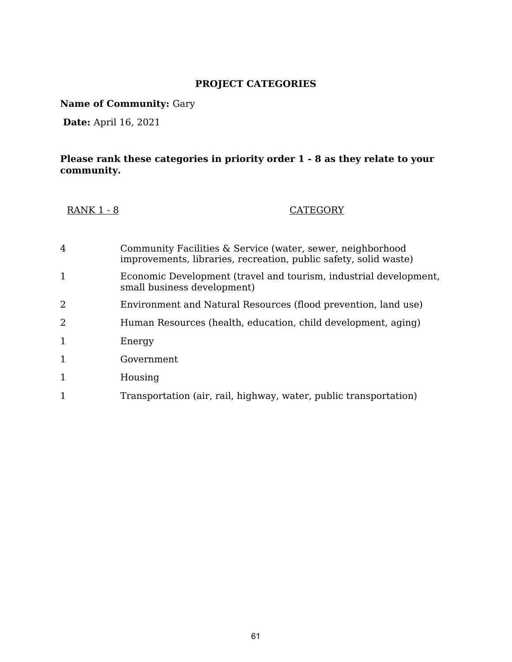**Name of Community:** Gary

**Date:** April 16, 2021

| <b>RANK 1 - 8</b> | <b>CATEGORY</b> |
|-------------------|-----------------|
|-------------------|-----------------|

| 4            | Community Facilities & Service (water, sewer, neighborhood<br>improvements, libraries, recreation, public safety, solid waste) |
|--------------|--------------------------------------------------------------------------------------------------------------------------------|
| 1            | Economic Development (travel and tourism, industrial development,<br>small business development)                               |
| 2            | Environment and Natural Resources (flood prevention, land use)                                                                 |
| 2            | Human Resources (health, education, child development, aging)                                                                  |
| 1            | Energy                                                                                                                         |
| 1            | Government                                                                                                                     |
| $\mathbf{1}$ | Housing                                                                                                                        |
|              | Transportation (air, rail, highway, water, public transportation)                                                              |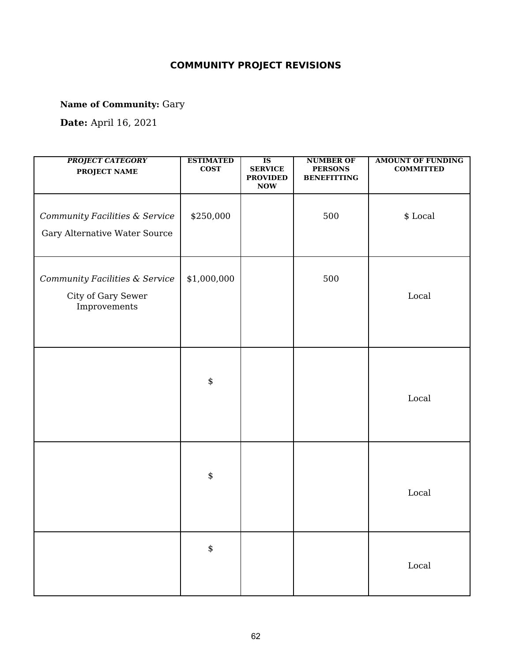**Name of Community:** Gary

| <b>PROJECT CATEGORY</b><br>PROJECT NAME                              | <b>ESTIMATED</b><br><b>COST</b> | $\overline{\text{IS}}$<br><b>SERVICE</b><br><b>PROVIDED</b><br>$\bf{Now}$ | <b>NUMBER OF</b><br><b>PERSONS</b><br><b>BENEFITTING</b> | <b>AMOUNT OF FUNDING</b><br><b>COMMITTED</b> |
|----------------------------------------------------------------------|---------------------------------|---------------------------------------------------------------------------|----------------------------------------------------------|----------------------------------------------|
| Community Facilities & Service<br>Gary Alternative Water Source      | \$250,000                       |                                                                           | 500                                                      | \$ Local                                     |
| Community Facilities & Service<br>City of Gary Sewer<br>Improvements | \$1,000,000                     |                                                                           | 500                                                      | Local                                        |
|                                                                      | \$                              |                                                                           |                                                          | Local                                        |
|                                                                      | \$                              |                                                                           |                                                          | Local                                        |
|                                                                      | \$                              |                                                                           |                                                          | Local                                        |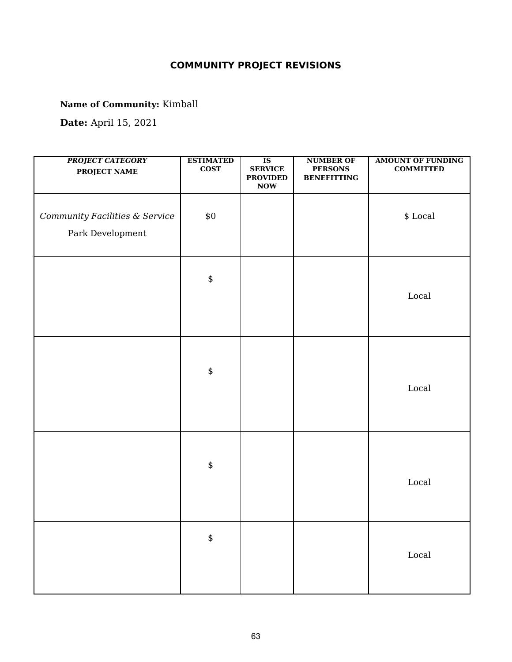**Name of Community:** Kimball

| <b>PROJECT CATEGORY</b><br>PROJECT NAME            | <b>ESTIMATED</b><br>$\cos$ | $\overline{\text{IS}}$<br><b>SERVICE</b><br><b>PROVIDED</b><br>$\bf{Now}$ | <b>NUMBER OF</b><br><b>PERSONS</b><br><b>BENEFITTING</b> | <b>AMOUNT OF FUNDING</b><br><b>COMMITTED</b> |
|----------------------------------------------------|----------------------------|---------------------------------------------------------------------------|----------------------------------------------------------|----------------------------------------------|
| Community Facilities & Service<br>Park Development | $\$0$                      |                                                                           |                                                          | $\$$ Local                                   |
|                                                    | $\spadesuit$               |                                                                           |                                                          | $_{\rm Local}$                               |
|                                                    | $\pmb{\$}$                 |                                                                           |                                                          | Local                                        |
|                                                    | $\pmb{\$}$                 |                                                                           |                                                          | $\operatorname{Local}$                       |
|                                                    | $\pmb{\$}$                 |                                                                           |                                                          | $_{\rm Local}$                               |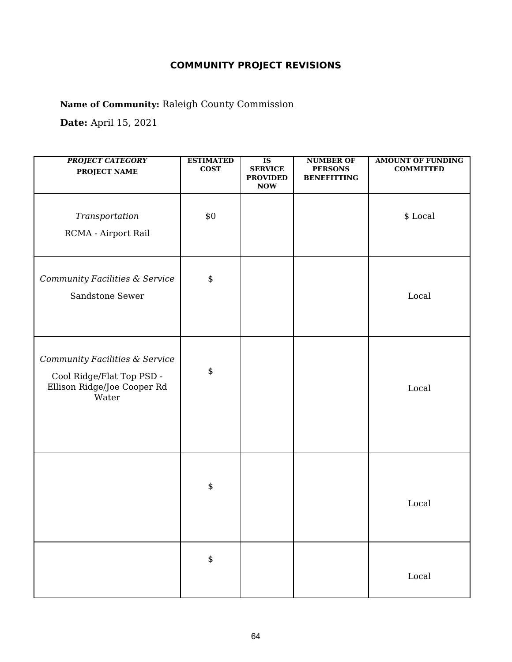**Name of Community:** Raleigh County Commission

| <b>PROJECT CATEGORY</b><br><b>PROJECT NAME</b>                                                      | <b>ESTIMATED</b><br><b>COST</b> | $\overline{\text{IS}}$<br><b>SERVICE</b><br><b>PROVIDED</b><br><b>NOW</b> | <b>NUMBER OF</b><br><b>PERSONS</b><br><b>BENEFITTING</b> | <b>AMOUNT OF FUNDING</b><br><b>COMMITTED</b> |
|-----------------------------------------------------------------------------------------------------|---------------------------------|---------------------------------------------------------------------------|----------------------------------------------------------|----------------------------------------------|
| Transportation<br>RCMA - Airport Rail                                                               | \$0                             |                                                                           |                                                          | \$ Local                                     |
| Community Facilities & Service<br>Sandstone Sewer                                                   | $\pmb{\$}$                      |                                                                           |                                                          | Local                                        |
| Community Facilities & Service<br>Cool Ridge/Flat Top PSD -<br>Ellison Ridge/Joe Cooper Rd<br>Water | \$                              |                                                                           |                                                          | Local                                        |
|                                                                                                     | \$                              |                                                                           |                                                          | Local                                        |
|                                                                                                     | $\pmb{\$}$                      |                                                                           |                                                          | $_{\rm Local}$                               |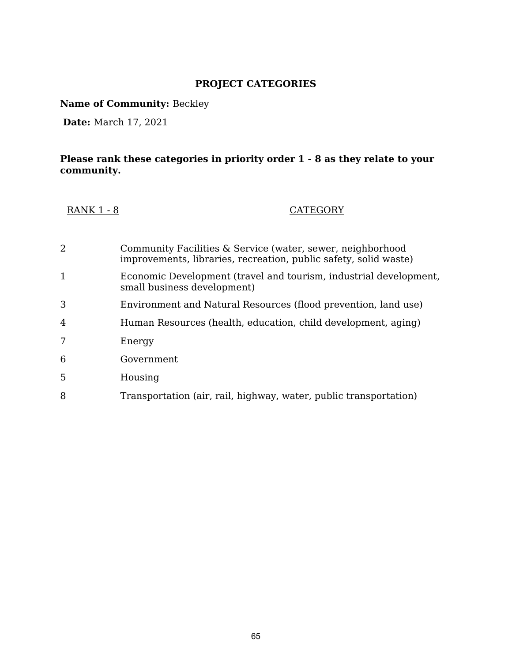**Name of Community:** Beckley

**Date:** March 17, 2021

| <b>RANK 1 - 8</b> | <b>CATEGORY</b> |
|-------------------|-----------------|
|-------------------|-----------------|

| 2            | Community Facilities & Service (water, sewer, neighborhood<br>improvements, libraries, recreation, public safety, solid waste) |
|--------------|--------------------------------------------------------------------------------------------------------------------------------|
| $\mathbf{1}$ | Economic Development (travel and tourism, industrial development,<br>small business development)                               |
| 3            | Environment and Natural Resources (flood prevention, land use)                                                                 |
| 4            | Human Resources (health, education, child development, aging)                                                                  |
|              | Energy                                                                                                                         |
| 6            | Government                                                                                                                     |
| 5            | Housing                                                                                                                        |
| 8            | Transportation (air, rail, highway, water, public transportation)                                                              |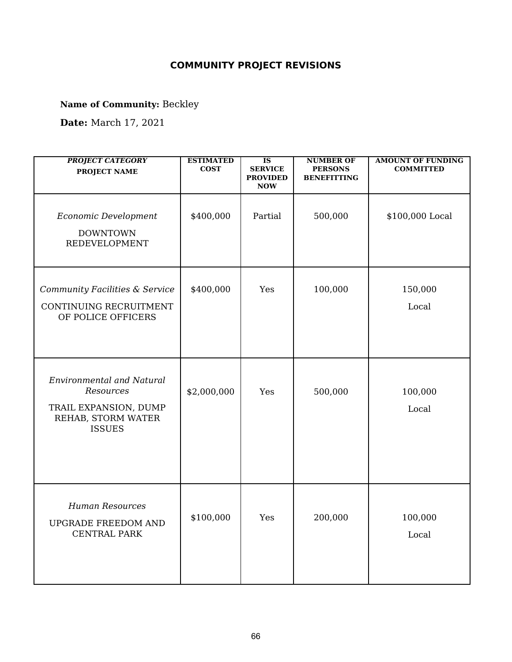**Name of Community:** Beckley

**Date:** March 17, 2021

| <b>PROJECT CATEGORY</b><br><b>PROJECT NAME</b>                                                                | <b>ESTIMATED</b><br><b>COST</b> | $\overline{\text{IS}}$<br><b>SERVICE</b><br><b>PROVIDED</b><br><b>NOW</b> | <b>NUMBER OF</b><br><b>PERSONS</b><br><b>BENEFITTING</b> | <b>AMOUNT OF FUNDING</b><br><b>COMMITTED</b> |
|---------------------------------------------------------------------------------------------------------------|---------------------------------|---------------------------------------------------------------------------|----------------------------------------------------------|----------------------------------------------|
| Economic Development<br><b>DOWNTOWN</b><br><b>REDEVELOPMENT</b>                                               | \$400,000                       | Partial                                                                   | 500,000                                                  | \$100,000 Local                              |
| Community Facilities & Service<br>CONTINUING RECRUITMENT<br>OF POLICE OFFICERS                                | \$400,000                       | Yes                                                                       | 100,000                                                  | 150,000<br>Local                             |
| <b>Environmental and Natural</b><br>Resources<br>TRAIL EXPANSION, DUMP<br>REHAB, STORM WATER<br><b>ISSUES</b> | \$2,000,000                     | Yes                                                                       | 500,000                                                  | 100,000<br>Local                             |
| <b>Human Resources</b><br><b>UPGRADE FREEDOM AND</b><br><b>CENTRAL PARK</b>                                   | \$100,000                       | Yes                                                                       | 200,000                                                  | 100,000<br>Local                             |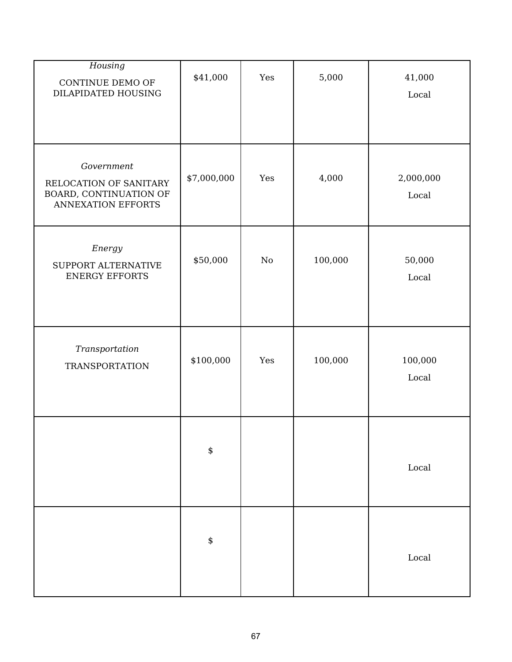| Housing<br>CONTINUE DEMO OF<br>DILAPIDATED HOUSING                                          | \$41,000    | Yes | 5,000   | 41,000<br>Local    |
|---------------------------------------------------------------------------------------------|-------------|-----|---------|--------------------|
| Government<br>RELOCATION OF SANITARY<br>BOARD, CONTINUATION OF<br><b>ANNEXATION EFFORTS</b> | \$7,000,000 | Yes | 4,000   | 2,000,000<br>Local |
| Energy<br>SUPPORT ALTERNATIVE<br><b>ENERGY EFFORTS</b>                                      | \$50,000    | No  | 100,000 | 50,000<br>Local    |
| Transportation<br><b>TRANSPORTATION</b>                                                     | \$100,000   | Yes | 100,000 | 100,000<br>Local   |
|                                                                                             | \$          |     |         | Local              |
|                                                                                             | \$          |     |         | Local              |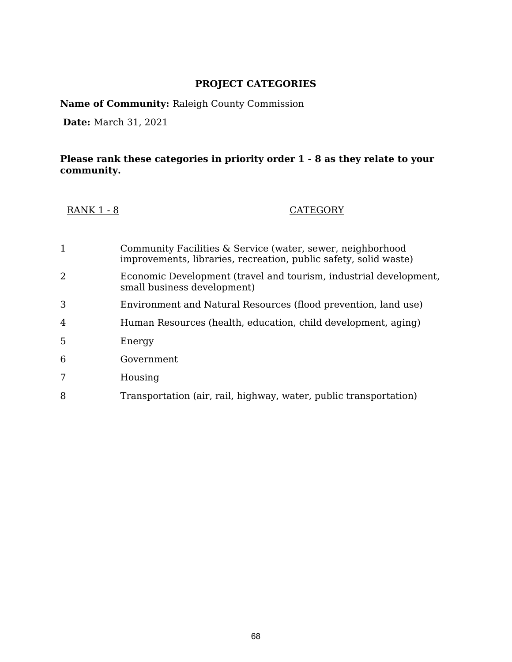**Name of Community:** Raleigh County Commission

**Date:** March 31, 2021

| <b>RANK 1 - 8</b> | <b>CATEGORY</b> |
|-------------------|-----------------|
|-------------------|-----------------|

| 1 | Community Facilities & Service (water, sewer, neighborhood<br>improvements, libraries, recreation, public safety, solid waste) |
|---|--------------------------------------------------------------------------------------------------------------------------------|
| 2 | Economic Development (travel and tourism, industrial development,<br>small business development)                               |
| 3 | Environment and Natural Resources (flood prevention, land use)                                                                 |
| 4 | Human Resources (health, education, child development, aging)                                                                  |
| 5 | Energy                                                                                                                         |
| 6 | Government                                                                                                                     |
| 7 | Housing                                                                                                                        |
| 8 | Transportation (air, rail, highway, water, public transportation)                                                              |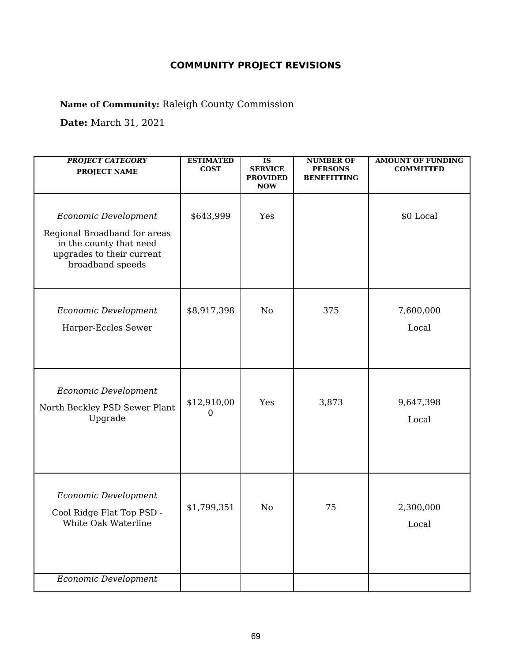**Name of Community:** Raleigh County Commission

**Date:** March 31, 2021

| <b>PROJECT CATEGORY</b><br><b>PROJECT NAME</b>                                                                                   | <b>ESTIMATED</b><br><b>COST</b> | <b>IS</b><br><b>SERVICE</b><br><b>PROVIDED</b><br><b>NOW</b> | <b>NUMBER OF</b><br><b>PERSONS</b><br><b>BENEFITTING</b> | <b>AMOUNT OF FUNDING</b><br><b>COMMITTED</b> |
|----------------------------------------------------------------------------------------------------------------------------------|---------------------------------|--------------------------------------------------------------|----------------------------------------------------------|----------------------------------------------|
| Economic Development<br>Regional Broadband for areas<br>in the county that need<br>upgrades to their current<br>broadband speeds | \$643,999                       | Yes                                                          |                                                          | \$0 Local                                    |
| Economic Development<br>Harper-Eccles Sewer                                                                                      | \$8,917,398                     | No                                                           | 375                                                      | 7,600,000<br>Local                           |
| Economic Development<br>North Beckley PSD Sewer Plant<br>Upgrade                                                                 | \$12,910,00<br>$\Omega$         | Yes                                                          | 3,873                                                    | 9,647,398<br>Local                           |
| Economic Development<br>Cool Ridge Flat Top PSD -<br>White Oak Waterline                                                         | \$1,799,351                     | No                                                           | 75                                                       | 2,300,000<br>Local                           |
| <b>Economic Development</b>                                                                                                      |                                 |                                                              |                                                          |                                              |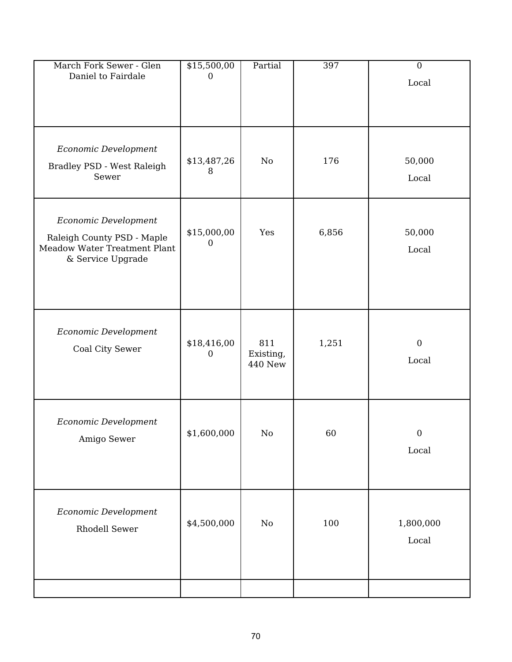| March Fork Sewer - Glen<br>Daniel to Fairdale                                                           | \$15,500,00<br>$\boldsymbol{0}$ | Partial                            | 397   | $\overline{0}$<br>Local   |
|---------------------------------------------------------------------------------------------------------|---------------------------------|------------------------------------|-------|---------------------------|
| Economic Development<br>Bradley PSD - West Raleigh<br>Sewer                                             | \$13,487,26<br>8                | No                                 | 176   | 50,000<br>Local           |
| Economic Development<br>Raleigh County PSD - Maple<br>Meadow Water Treatment Plant<br>& Service Upgrade | \$15,000,00<br>$\Omega$         | Yes                                | 6,856 | 50,000<br>Local           |
| Economic Development<br>Coal City Sewer                                                                 | \$18,416,00<br>$\overline{0}$   | 811<br>Existing,<br><b>440 New</b> | 1,251 | $\boldsymbol{0}$<br>Local |
| Economic Development<br>Amigo Sewer                                                                     | \$1,600,000                     | $\rm No$                           | 60    | $\overline{0}$<br>Local   |
| Economic Development<br>Rhodell Sewer                                                                   | \$4,500,000                     | No                                 | 100   | 1,800,000<br>Local        |
|                                                                                                         |                                 |                                    |       |                           |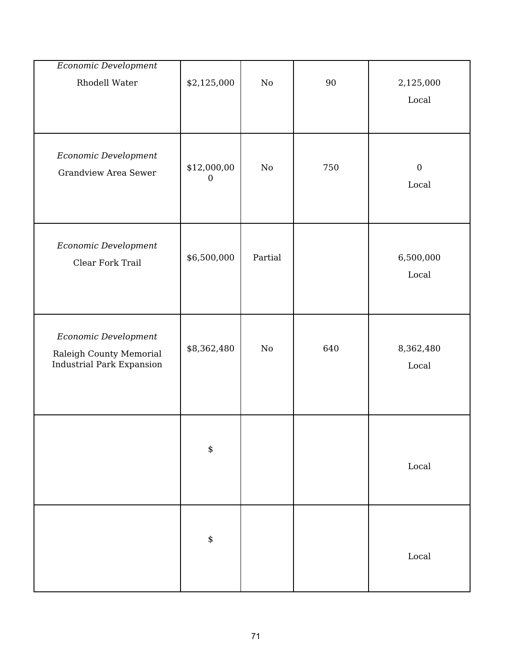| Economic Development<br>Rhodell Water                                               | \$2,125,000                     | $\rm No$ | 90  | 2,125,000<br>Local        |
|-------------------------------------------------------------------------------------|---------------------------------|----------|-----|---------------------------|
| Economic Development<br><b>Grandview Area Sewer</b>                                 | \$12,000,00<br>$\boldsymbol{0}$ | No       | 750 | $\boldsymbol{0}$<br>Local |
| Economic Development<br>Clear Fork Trail                                            | \$6,500,000                     | Partial  |     | 6,500,000<br>Local        |
| Economic Development<br>Raleigh County Memorial<br><b>Industrial Park Expansion</b> | \$8,362,480                     | $\rm No$ | 640 | 8,362,480<br>Local        |
|                                                                                     | \$                              |          |     | Local                     |
|                                                                                     | \$                              |          |     | $\operatorname{Local}$    |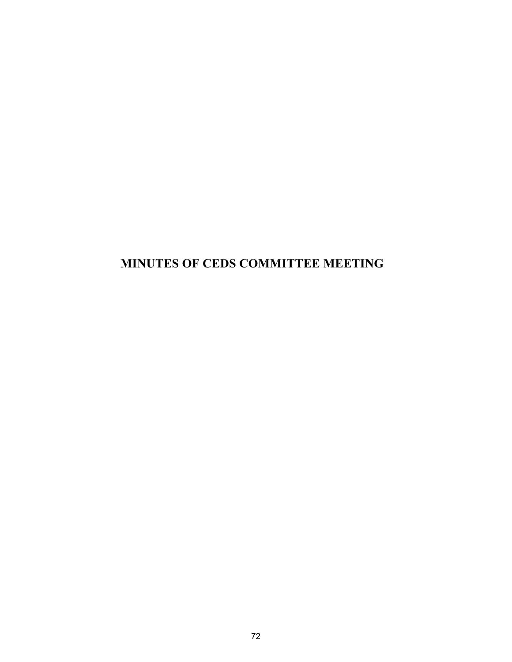## **MINUTES OF CEDS COMMITTEE MEETING**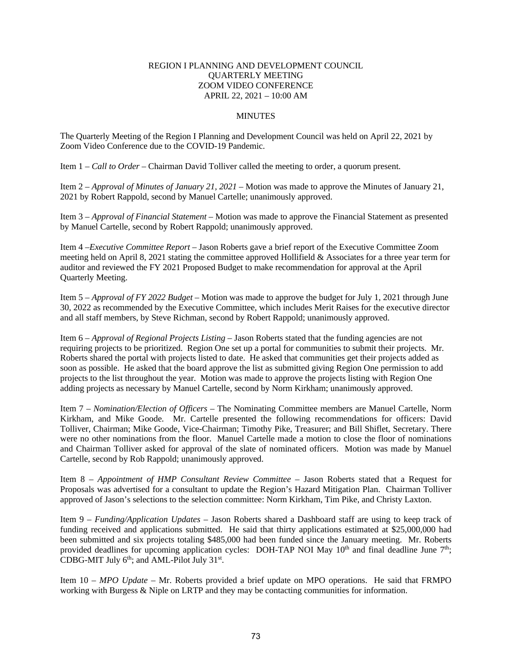## REGION I PLANNING AND DEVELOPMENT COUNCIL QUARTERLY MEETING ZOOM VIDEO CONFERENCE APRIL 22, 2021 – 10:00 AM

## **MINUTES**

The Quarterly Meeting of the Region I Planning and Development Council was held on April 22, 2021 by Zoom Video Conference due to the COVID-19 Pandemic.

Item 1 – *Call to Order –* Chairman David Tolliver called the meeting to order, a quorum present.

Item 2 – *Approval of Minutes of January 21, 2021* – Motion was made to approve the Minutes of January 21, 2021 by Robert Rappold, second by Manuel Cartelle; unanimously approved.

Item 3 – *Approval of Financial Statement* – Motion was made to approve the Financial Statement as presented by Manuel Cartelle, second by Robert Rappold; unanimously approved.

Item 4 –*Executive Committee Report* – Jason Roberts gave a brief report of the Executive Committee Zoom meeting held on April 8, 2021 stating the committee approved Hollifield & Associates for a three year term for auditor and reviewed the FY 2021 Proposed Budget to make recommendation for approval at the April Quarterly Meeting.

Item 5 – *Approval of FY 2022 Budget* – Motion was made to approve the budget for July 1, 2021 through June 30, 2022 as recommended by the Executive Committee, which includes Merit Raises for the executive director and all staff members, by Steve Richman, second by Robert Rappold; unanimously approved.

Item 6 – *Approval of Regional Projects Listing –* Jason Roberts stated that the funding agencies are not requiring projects to be prioritized. Region One set up a portal for communities to submit their projects. Mr. Roberts shared the portal with projects listed to date. He asked that communities get their projects added as soon as possible. He asked that the board approve the list as submitted giving Region One permission to add projects to the list throughout the year. Motion was made to approve the projects listing with Region One adding projects as necessary by Manuel Cartelle, second by Norm Kirkham; unanimously approved.

Item 7 – *Nomination/Election of Officers* – The Nominating Committee members are Manuel Cartelle, Norm Kirkham, and Mike Goode. Mr. Cartelle presented the following recommendations for officers: David Tolliver, Chairman; Mike Goode, Vice-Chairman; Timothy Pike, Treasurer; and Bill Shiflet, Secretary. There were no other nominations from the floor. Manuel Cartelle made a motion to close the floor of nominations and Chairman Tolliver asked for approval of the slate of nominated officers. Motion was made by Manuel Cartelle, second by Rob Rappold; unanimously approved.

Item 8 – *Appointment of HMP Consultant Review Committee* – Jason Roberts stated that a Request for Proposals was advertised for a consultant to update the Region's Hazard Mitigation Plan. Chairman Tolliver approved of Jason's selections to the selection committee: Norm Kirkham, Tim Pike, and Christy Laxton.

Item 9 – *Funding/Application Updates* – Jason Roberts shared a Dashboard staff are using to keep track of funding received and applications submitted. He said that thirty applications estimated at \$25,000,000 had been submitted and six projects totaling \$485,000 had been funded since the January meeting. Mr. Roberts provided deadlines for upcoming application cycles: DOH-TAP NOI May  $10<sup>th</sup>$  and final deadline June 7<sup>th</sup>; CDBG-MIT July 6<sup>th</sup>; and AML-Pilot July 31<sup>st</sup>.

Item 10 – *MPO Update –* Mr. Roberts provided a brief update on MPO operations. He said that FRMPO working with Burgess & Niple on LRTP and they may be contacting communities for information.